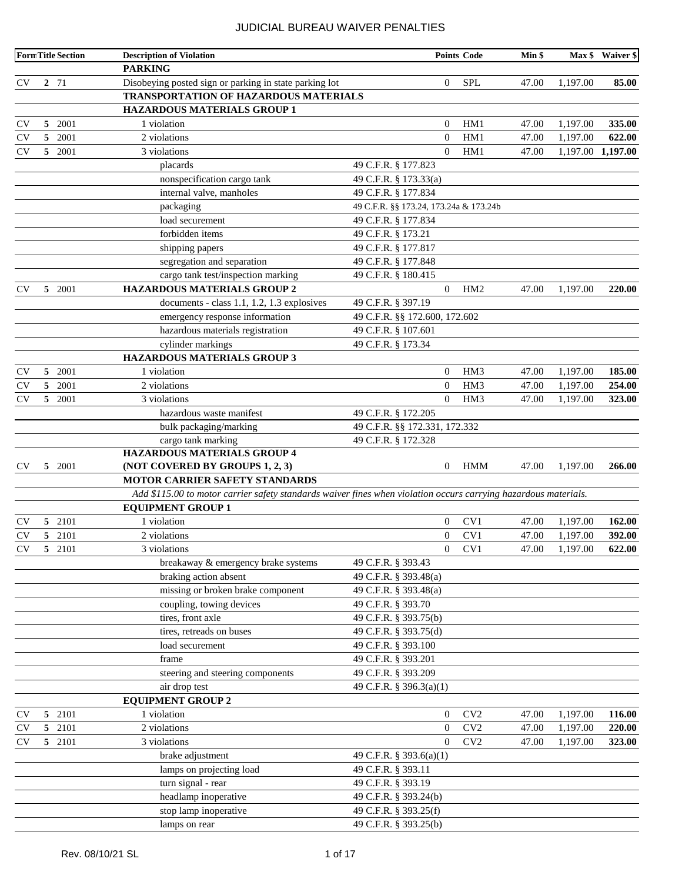|                        |                | <b>FormTitle Section</b> | <b>Description of Violation</b>                                                                                                             |                                        |                | <b>Points Code</b> | Min \$ |                   | Max \$ Waiver \$ |
|------------------------|----------------|--------------------------|---------------------------------------------------------------------------------------------------------------------------------------------|----------------------------------------|----------------|--------------------|--------|-------------------|------------------|
|                        |                |                          | <b>PARKING</b>                                                                                                                              |                                        |                |                    |        |                   |                  |
| <b>CV</b>              |                | 2 71                     | Disobeying posted sign or parking in state parking lot                                                                                      |                                        | $\overline{0}$ | <b>SPL</b>         | 47.00  | 1,197.00          | 85.00            |
|                        |                |                          | TRANSPORTATION OF HAZARDOUS MATERIALS                                                                                                       |                                        |                |                    |        |                   |                  |
|                        |                |                          | HAZARDOUS MATERIALS GROUP 1                                                                                                                 |                                        |                |                    |        |                   |                  |
| <b>CV</b>              | 5              | 2001                     | 1 violation                                                                                                                                 |                                        | $\overline{0}$ | HM1                | 47.00  | 1,197.00          | 335.00           |
| <b>CV</b>              | 5              | 2001                     | 2 violations                                                                                                                                |                                        | $\overline{0}$ | HM1                | 47.00  | 1,197.00          | 622.00           |
| <b>CV</b>              |                | 5 2001                   | 3 violations                                                                                                                                |                                        | $\overline{0}$ | HM1                | 47.00  | 1,197.00 1,197.00 |                  |
|                        |                |                          | placards                                                                                                                                    | 49 C.F.R. § 177.823                    |                |                    |        |                   |                  |
|                        |                |                          | nonspecification cargo tank                                                                                                                 | 49 C.F.R. § 173.33(a)                  |                |                    |        |                   |                  |
|                        |                |                          | internal valve, manholes                                                                                                                    | 49 C.F.R. § 177.834                    |                |                    |        |                   |                  |
|                        |                |                          | packaging                                                                                                                                   | 49 C.F.R. §§ 173.24, 173.24a & 173.24b |                |                    |        |                   |                  |
|                        |                |                          | load securement                                                                                                                             | 49 C.F.R. § 177.834                    |                |                    |        |                   |                  |
|                        |                |                          | forbidden items                                                                                                                             | 49 C.F.R. § 173.21                     |                |                    |        |                   |                  |
|                        |                |                          | shipping papers                                                                                                                             | 49 C.F.R. § 177.817                    |                |                    |        |                   |                  |
|                        |                |                          | segregation and separation                                                                                                                  | 49 C.F.R. § 177.848                    |                |                    |        |                   |                  |
|                        |                |                          | cargo tank test/inspection marking                                                                                                          | 49 C.F.R. § 180.415                    |                |                    |        |                   |                  |
| <b>CV</b>              |                | 5 2001                   | <b>HAZARDOUS MATERIALS GROUP 2</b>                                                                                                          |                                        | $\overline{0}$ | HM <sub>2</sub>    | 47.00  | 1,197.00          | 220.00           |
|                        |                |                          | documents - class 1.1, 1.2, 1.3 explosives                                                                                                  | 49 C.F.R. § 397.19                     |                |                    |        |                   |                  |
|                        |                |                          | emergency response information                                                                                                              | 49 C.F.R. §§ 172.600, 172.602          |                |                    |        |                   |                  |
|                        |                |                          | hazardous materials registration                                                                                                            | 49 C.F.R. § 107.601                    |                |                    |        |                   |                  |
|                        |                |                          | cylinder markings                                                                                                                           | 49 C.F.R. § 173.34                     |                |                    |        |                   |                  |
|                        |                |                          | <b>HAZARDOUS MATERIALS GROUP 3</b>                                                                                                          |                                        |                |                    |        |                   |                  |
| <b>CV</b>              | 5              | 2001                     | 1 violation                                                                                                                                 |                                        | $\overline{0}$ | HM <sub>3</sub>    | 47.00  | 1,197.00          | 185.00           |
| <b>CV</b>              | 5              | 2001                     | 2 violations                                                                                                                                |                                        | $\mathbf{0}$   | HM <sub>3</sub>    | 47.00  | 1,197.00          | 254.00           |
| <b>CV</b>              |                | 5 2001                   | 3 violations                                                                                                                                |                                        | $\mathbf{0}$   | HM3                | 47.00  | 1,197.00          | 323.00           |
|                        |                |                          | hazardous waste manifest                                                                                                                    | 49 C.F.R. § 172.205                    |                |                    |        |                   |                  |
|                        |                |                          | bulk packaging/marking                                                                                                                      | 49 C.F.R. §§ 172.331, 172.332          |                |                    |        |                   |                  |
|                        |                |                          | cargo tank marking                                                                                                                          | 49 C.F.R. § 172.328                    |                |                    |        |                   |                  |
|                        |                |                          | <b>HAZARDOUS MATERIALS GROUP 4</b>                                                                                                          |                                        |                |                    |        |                   |                  |
| <b>CV</b>              |                | 5 2001                   | (NOT COVERED BY GROUPS 1, 2, 3)                                                                                                             |                                        | $\overline{0}$ | <b>HMM</b>         | 47.00  | 1,197.00          | 266.00           |
|                        |                |                          | <b>MOTOR CARRIER SAFETY STANDARDS</b>                                                                                                       |                                        |                |                    |        |                   |                  |
|                        |                |                          | Add \$115.00 to motor carrier safety standards waiver fines when violation occurs carrying hazardous materials.<br><b>EQUIPMENT GROUP 1</b> |                                        |                |                    |        |                   |                  |
|                        |                | 5 2101                   | 1 violation                                                                                                                                 |                                        | $\overline{0}$ | CV1                | 47.00  | 1,197.00          | 162.00           |
| <b>CV</b><br><b>CV</b> |                | 5 2101                   | 2 violations                                                                                                                                |                                        | $\mathbf{0}$   | CV1                | 47.00  | 1,197.00          | 392.00           |
| $\rm{CV}$              |                | 5 2101                   | 3 violations                                                                                                                                |                                        | $\overline{0}$ | CV1                | 47.00  | 1,197.00          | 622.00           |
|                        |                |                          | breakaway & emergency brake systems                                                                                                         | 49 C.F.R. § 393.43                     |                |                    |        |                   |                  |
|                        |                |                          | braking action absent                                                                                                                       | 49 C.F.R. § 393.48(a)                  |                |                    |        |                   |                  |
|                        |                |                          | missing or broken brake component                                                                                                           | 49 C.F.R. § 393.48(a)                  |                |                    |        |                   |                  |
|                        |                |                          | coupling, towing devices                                                                                                                    | 49 C.F.R. § 393.70                     |                |                    |        |                   |                  |
|                        |                |                          | tires, front axle                                                                                                                           | 49 C.F.R. § 393.75(b)                  |                |                    |        |                   |                  |
|                        |                |                          | tires, retreads on buses                                                                                                                    | 49 C.F.R. § 393.75(d)                  |                |                    |        |                   |                  |
|                        |                |                          | load securement                                                                                                                             | 49 C.F.R. § 393.100                    |                |                    |        |                   |                  |
|                        |                |                          | frame                                                                                                                                       | 49 C.F.R. § 393.201                    |                |                    |        |                   |                  |
|                        |                |                          | steering and steering components                                                                                                            | 49 C.F.R. § 393.209                    |                |                    |        |                   |                  |
|                        |                |                          | air drop test                                                                                                                               | 49 C.F.R. § 396.3(a)(1)                |                |                    |        |                   |                  |
|                        |                |                          | <b>EQUIPMENT GROUP 2</b>                                                                                                                    |                                        |                |                    |        |                   |                  |
| <b>CV</b>              |                | 5 2101                   | 1 violation                                                                                                                                 |                                        | $\mathbf{0}$   | CV <sub>2</sub>    | 47.00  | 1,197.00          | 116.00           |
| <b>CV</b>              | 5 <sup>5</sup> | 2101                     | 2 violations                                                                                                                                |                                        | $\mathbf{0}$   | CV2                | 47.00  | 1,197.00          | 220.00           |
| <b>CV</b>              |                | 5 2101                   | 3 violations                                                                                                                                |                                        | $\overline{0}$ | CV2                | 47.00  | 1,197.00          | 323.00           |
|                        |                |                          | brake adjustment                                                                                                                            | 49 C.F.R. § 393.6(a)(1)                |                |                    |        |                   |                  |
|                        |                |                          | lamps on projecting load                                                                                                                    | 49 C.F.R. § 393.11                     |                |                    |        |                   |                  |
|                        |                |                          | turn signal - rear                                                                                                                          | 49 C.F.R. § 393.19                     |                |                    |        |                   |                  |
|                        |                |                          | headlamp inoperative                                                                                                                        | 49 C.F.R. § 393.24(b)                  |                |                    |        |                   |                  |
|                        |                |                          | stop lamp inoperative                                                                                                                       | 49 C.F.R. § 393.25(f)                  |                |                    |        |                   |                  |
|                        |                |                          | lamps on rear                                                                                                                               | 49 C.F.R. § 393.25(b)                  |                |                    |        |                   |                  |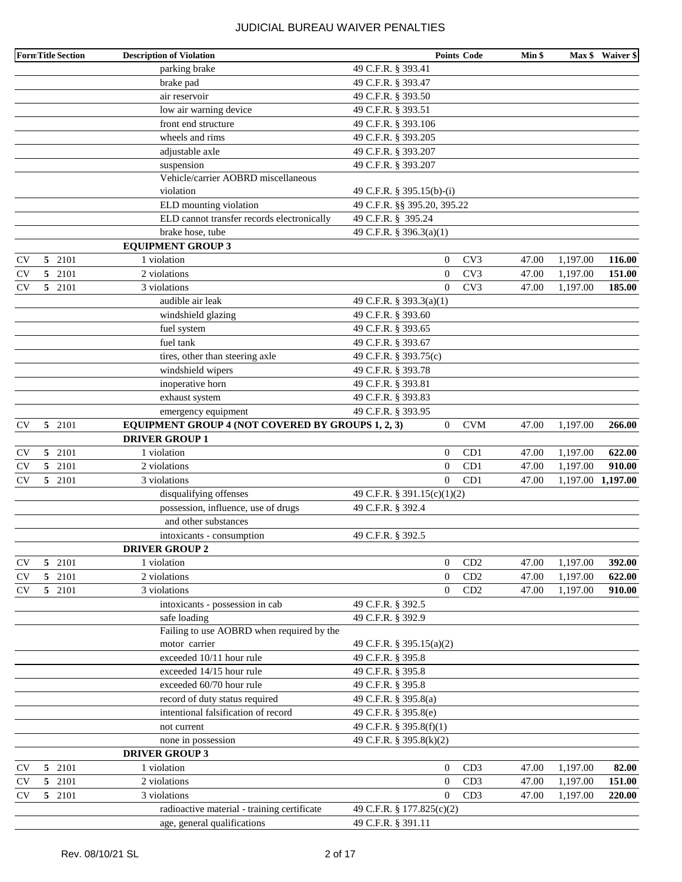|           |   | <b>FormTitle Section</b> | <b>Description of Violation</b>                   |                             | <b>Points Code</b> | Min \$ |                   | Max \$ Waiver \$ |
|-----------|---|--------------------------|---------------------------------------------------|-----------------------------|--------------------|--------|-------------------|------------------|
|           |   |                          | parking brake                                     | 49 C.F.R. § 393.41          |                    |        |                   |                  |
|           |   |                          | brake pad                                         | 49 C.F.R. § 393.47          |                    |        |                   |                  |
|           |   |                          | air reservoir                                     | 49 C.F.R. § 393.50          |                    |        |                   |                  |
|           |   |                          | low air warning device                            | 49 C.F.R. § 393.51          |                    |        |                   |                  |
|           |   |                          | front end structure                               | 49 C.F.R. § 393.106         |                    |        |                   |                  |
|           |   |                          | wheels and rims                                   | 49 C.F.R. § 393.205         |                    |        |                   |                  |
|           |   |                          | adjustable axle                                   | 49 C.F.R. § 393.207         |                    |        |                   |                  |
|           |   |                          | suspension                                        | 49 C.F.R. § 393.207         |                    |        |                   |                  |
|           |   |                          | Vehicle/carrier AOBRD miscellaneous               |                             |                    |        |                   |                  |
|           |   |                          | violation                                         | 49 C.F.R. § 395.15(b)-(i)   |                    |        |                   |                  |
|           |   |                          | ELD mounting violation                            | 49 C.F.R. §§ 395.20, 395.22 |                    |        |                   |                  |
|           |   |                          | ELD cannot transfer records electronically        | 49 C.F.R. § 395.24          |                    |        |                   |                  |
|           |   |                          | brake hose, tube                                  | 49 C.F.R. § 396.3(a)(1)     |                    |        |                   |                  |
|           |   |                          | <b>EQUIPMENT GROUP 3</b>                          |                             |                    |        |                   |                  |
| <b>CV</b> |   | 5 2101                   | 1 violation                                       | $\theta$                    | CV3                | 47.00  | 1,197.00          | 116.00           |
| <b>CV</b> | 5 | 2101                     | 2 violations                                      | $\mathbf{0}$                | CV3                | 47.00  | 1,197.00          | 151.00           |
| <b>CV</b> |   | 5 2101                   | 3 violations                                      | $\Omega$                    | CV3                | 47.00  | 1,197.00          | 185.00           |
|           |   |                          | audible air leak                                  | 49 C.F.R. § 393.3(a)(1)     |                    |        |                   |                  |
|           |   |                          | windshield glazing                                | 49 C.F.R. § 393.60          |                    |        |                   |                  |
|           |   |                          | fuel system                                       | 49 C.F.R. § 393.65          |                    |        |                   |                  |
|           |   |                          | fuel tank                                         | 49 C.F.R. § 393.67          |                    |        |                   |                  |
|           |   |                          | tires, other than steering axle                   | 49 C.F.R. § 393.75(c)       |                    |        |                   |                  |
|           |   |                          | windshield wipers                                 | 49 C.F.R. § 393.78          |                    |        |                   |                  |
|           |   |                          | inoperative horn                                  | 49 C.F.R. § 393.81          |                    |        |                   |                  |
|           |   |                          | exhaust system                                    | 49 C.F.R. § 393.83          |                    |        |                   |                  |
|           |   |                          | emergency equipment                               | 49 C.F.R. § 393.95          |                    |        |                   |                  |
| <b>CV</b> |   | 5 2101                   | EQUIPMENT GROUP 4 (NOT COVERED BY GROUPS 1, 2, 3) | $\overline{0}$              | <b>CVM</b>         | 47.00  | 1,197.00          | 266.00           |
|           |   |                          | <b>DRIVER GROUP 1</b>                             |                             |                    |        |                   |                  |
| <b>CV</b> |   | 5 2101                   | 1 violation                                       | $\boldsymbol{0}$            | CD1                | 47.00  | 1,197.00          | 622.00           |
| <b>CV</b> | 5 | 2101                     | 2 violations                                      | $\mathbf{0}$                | CD1                | 47.00  | 1,197.00          | 910.00           |
| <b>CV</b> |   | 5 2101                   | 3 violations                                      | $\theta$                    | CD1                | 47.00  | 1,197.00 1,197.00 |                  |
|           |   |                          | disqualifying offenses                            | 49 C.F.R. § 391.15(c)(1)(2) |                    |        |                   |                  |
|           |   |                          | possession, influence, use of drugs               | 49 C.F.R. § 392.4           |                    |        |                   |                  |
|           |   |                          | and other substances                              |                             |                    |        |                   |                  |
|           |   |                          | intoxicants - consumption                         | 49 C.F.R. § 392.5           |                    |        |                   |                  |
|           |   |                          | <b>DRIVER GROUP 2</b>                             |                             |                    |        |                   |                  |
| <b>CV</b> |   | 5 2101                   | 1 violation                                       | $\mathbf{0}$                | CD2                | 47.00  | 1,197.00          | 392.00           |
| <b>CV</b> | 5 | 2101                     | 2 violations                                      | $\boldsymbol{0}$            | CD2                | 47.00  | 1,197.00          | 622.00           |
| <b>CV</b> |   | 5 2101                   | 3 violations                                      | $\theta$                    | CD2                | 47.00  | 1,197.00          | 910.00           |
|           |   |                          | intoxicants - possession in cab                   | 49 C.F.R. § 392.5           |                    |        |                   |                  |
|           |   |                          | safe loading                                      | 49 C.F.R. § 392.9           |                    |        |                   |                  |
|           |   |                          | Failing to use AOBRD when required by the         |                             |                    |        |                   |                  |
|           |   |                          | motor carrier                                     | 49 C.F.R. § 395.15(a)(2)    |                    |        |                   |                  |
|           |   |                          | exceeded 10/11 hour rule                          | 49 C.F.R. § 395.8           |                    |        |                   |                  |
|           |   |                          | exceeded 14/15 hour rule                          | 49 C.F.R. § 395.8           |                    |        |                   |                  |
|           |   |                          | exceeded 60/70 hour rule                          | 49 C.F.R. § 395.8           |                    |        |                   |                  |
|           |   |                          | record of duty status required                    | 49 C.F.R. § 395.8(a)        |                    |        |                   |                  |
|           |   |                          | intentional falsification of record               | 49 C.F.R. § 395.8(e)        |                    |        |                   |                  |
|           |   |                          | not current                                       | 49 C.F.R. § 395.8(f)(1)     |                    |        |                   |                  |
|           |   |                          | none in possession                                | 49 C.F.R. § 395.8(k)(2)     |                    |        |                   |                  |
|           |   |                          | <b>DRIVER GROUP 3</b>                             |                             |                    |        |                   |                  |
| <b>CV</b> | 5 | 2101                     | 1 violation                                       | $\boldsymbol{0}$            | CD3                | 47.00  | 1,197.00          | 82.00            |
| CV        | 5 | 2101                     | 2 violations                                      | $\boldsymbol{0}$            | CD3                | 47.00  | 1,197.00          | 151.00           |
| <b>CV</b> |   | 5 2101                   | 3 violations                                      | $\Omega$                    | CD3                | 47.00  | 1,197.00          | 220.00           |
|           |   |                          | radioactive material - training certificate       | 49 C.F.R. § 177.825(c)(2)   |                    |        |                   |                  |
|           |   |                          | age, general qualifications                       | 49 C.F.R. § 391.11          |                    |        |                   |                  |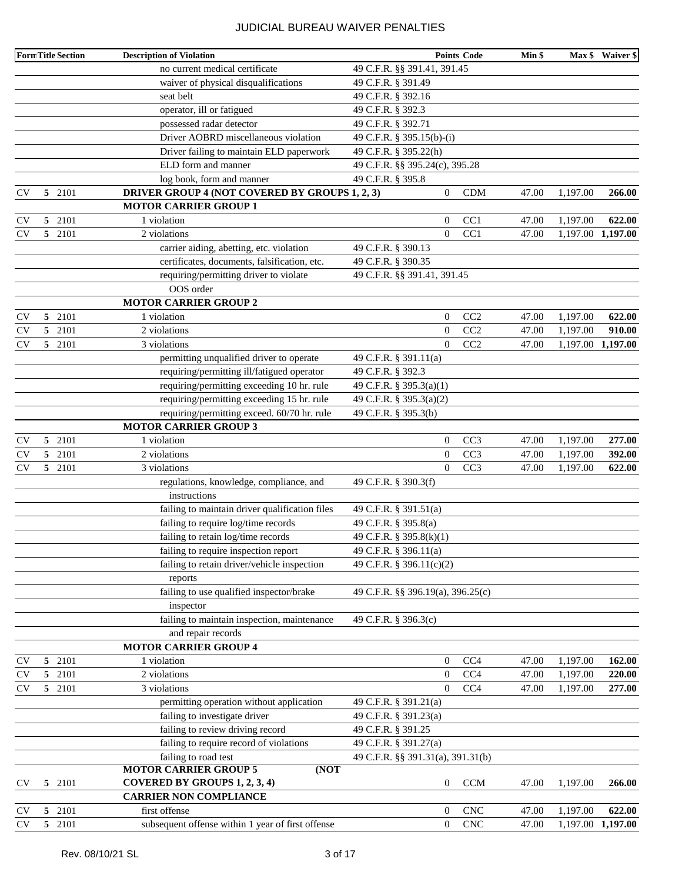|           |    | Form Title Section | <b>Description of Violation</b>                   |                                   | <b>Points Code</b>          | Min \$ |                   | Max \$ Waiver \$  |
|-----------|----|--------------------|---------------------------------------------------|-----------------------------------|-----------------------------|--------|-------------------|-------------------|
|           |    |                    | no current medical certificate                    | 49 C.F.R. §§ 391.41, 391.45       |                             |        |                   |                   |
|           |    |                    | waiver of physical disqualifications              | 49 C.F.R. § 391.49                |                             |        |                   |                   |
|           |    |                    | seat belt                                         | 49 C.F.R. § 392.16                |                             |        |                   |                   |
|           |    |                    | operator, ill or fatigued                         | 49 C.F.R. § 392.3                 |                             |        |                   |                   |
|           |    |                    | possessed radar detector                          | 49 C.F.R. § 392.71                |                             |        |                   |                   |
|           |    |                    | Driver AOBRD miscellaneous violation              | 49 C.F.R. § 395.15(b)-(i)         |                             |        |                   |                   |
|           |    |                    | Driver failing to maintain ELD paperwork          | 49 C.F.R. § 395.22(h)             |                             |        |                   |                   |
|           |    |                    | ELD form and manner                               | 49 C.F.R. §§ 395.24(c), 395.28    |                             |        |                   |                   |
|           |    |                    | log book, form and manner                         | 49 C.F.R. § 395.8                 |                             |        |                   |                   |
| <b>CV</b> |    | 5 2101             | DRIVER GROUP 4 (NOT COVERED BY GROUPS 1, 2, 3)    | 0                                 | CDM                         | 47.00  | 1,197.00          | 266.00            |
|           |    |                    | <b>MOTOR CARRIER GROUP 1</b>                      |                                   |                             |        |                   |                   |
| CV        |    | 5 2101             | 1 violation                                       | $\boldsymbol{0}$                  | CC1                         | 47.00  | 1,197.00          | 622.00            |
| <b>CV</b> |    | 5 2101             | 2 violations                                      | $\overline{0}$                    | CC1                         | 47.00  |                   | 1,197.00 1,197.00 |
|           |    |                    | carrier aiding, abetting, etc. violation          | 49 C.F.R. § 390.13                |                             |        |                   |                   |
|           |    |                    | certificates, documents, falsification, etc.      | 49 C.F.R. § 390.35                |                             |        |                   |                   |
|           |    |                    | requiring/permitting driver to violate            | 49 C.F.R. §§ 391.41, 391.45       |                             |        |                   |                   |
|           |    |                    | OOS order                                         |                                   |                             |        |                   |                   |
|           |    |                    | <b>MOTOR CARRIER GROUP 2</b>                      |                                   |                             |        |                   |                   |
| <b>CV</b> |    | 5 2101             | 1 violation                                       | $\boldsymbol{0}$                  | CC2                         | 47.00  | 1,197.00          | 622.00            |
| <b>CV</b> |    | 5 2101             | 2 violations                                      | $\boldsymbol{0}$                  | CC2                         | 47.00  | 1,197.00          | 910.00            |
| <b>CV</b> |    | 5 2101             | 3 violations                                      | $\overline{0}$                    | CC2                         | 47.00  | 1,197.00 1,197.00 |                   |
|           |    |                    | permitting unqualified driver to operate          | 49 C.F.R. § 391.11(a)             |                             |        |                   |                   |
|           |    |                    | requiring/permitting ill/fatigued operator        | 49 C.F.R. § 392.3                 |                             |        |                   |                   |
|           |    |                    | requiring/permitting exceeding 10 hr. rule        | 49 C.F.R. § 395.3(a)(1)           |                             |        |                   |                   |
|           |    |                    | requiring/permitting exceeding 15 hr. rule        | 49 C.F.R. § 395.3(a)(2)           |                             |        |                   |                   |
|           |    |                    | requiring/permitting exceed. 60/70 hr. rule       | 49 C.F.R. § 395.3(b)              |                             |        |                   |                   |
|           |    |                    | <b>MOTOR CARRIER GROUP 3</b>                      |                                   |                             |        |                   |                   |
| CV        |    | 5 2101             | 1 violation                                       | $\boldsymbol{0}$                  | CC <sub>3</sub>             | 47.00  | 1,197.00          | 277.00            |
| CV        | 5  | 2101               | 2 violations                                      | $\boldsymbol{0}$                  | CC <sub>3</sub>             | 47.00  | 1,197.00          | 392.00            |
| CV        |    | 5 2101             | 3 violations                                      | $\boldsymbol{0}$                  | CC <sub>3</sub>             | 47.00  | 1,197.00          | 622.00            |
|           |    |                    | regulations, knowledge, compliance, and           | 49 C.F.R. § 390.3(f)              |                             |        |                   |                   |
|           |    |                    | instructions                                      |                                   |                             |        |                   |                   |
|           |    |                    | failing to maintain driver qualification files    | 49 C.F.R. § 391.51(a)             |                             |        |                   |                   |
|           |    |                    | failing to require log/time records               | 49 C.F.R. § 395.8(a)              |                             |        |                   |                   |
|           |    |                    | failing to retain log/time records                | 49 C.F.R. § 395.8(k)(1)           |                             |        |                   |                   |
|           |    |                    | failing to require inspection report              | 49 C.F.R. § 396.11(a)             |                             |        |                   |                   |
|           |    |                    | failing to retain driver/vehicle inspection       | 49 C.F.R. § 396.11(c)(2)          |                             |        |                   |                   |
|           |    |                    | reports                                           |                                   |                             |        |                   |                   |
|           |    |                    | failing to use qualified inspector/brake          | 49 C.F.R. §§ 396.19(a), 396.25(c) |                             |        |                   |                   |
|           |    |                    | inspector                                         |                                   |                             |        |                   |                   |
|           |    |                    | failing to maintain inspection, maintenance       | 49 C.F.R. § 396.3(c)              |                             |        |                   |                   |
|           |    |                    | and repair records                                |                                   |                             |        |                   |                   |
|           |    |                    | <b>MOTOR CARRIER GROUP 4</b>                      |                                   |                             |        |                   |                   |
| <b>CV</b> | 5  | 2101               | 1 violation                                       | $\boldsymbol{0}$                  | CC4                         | 47.00  | 1,197.00          | 162.00            |
| CV        | 5  | 2101               | 2 violations                                      | $\boldsymbol{0}$                  | CC4                         | 47.00  | 1,197.00          | 220.00            |
| CV        |    | 5 2101             | 3 violations                                      | $\overline{0}$                    | CC <sub>4</sub>             | 47.00  | 1,197.00          | 277.00            |
|           |    |                    | permitting operation without application          | 49 C.F.R. § 391.21(a)             |                             |        |                   |                   |
|           |    |                    | failing to investigate driver                     | 49 C.F.R. § 391.23(a)             |                             |        |                   |                   |
|           |    |                    | failing to review driving record                  | 49 C.F.R. § 391.25                |                             |        |                   |                   |
|           |    |                    | failing to require record of violations           | 49 C.F.R. § 391.27(a)             |                             |        |                   |                   |
|           |    |                    | failing to road test                              | 49 C.F.R. §§ 391.31(a), 391.31(b) |                             |        |                   |                   |
|           |    |                    | <b>MOTOR CARRIER GROUP 5</b><br>(NOT              |                                   |                             |        |                   |                   |
| <b>CV</b> | 5. | 2101               | COVERED BY GROUPS 1, 2, 3, 4)                     | 0                                 | <b>CCM</b>                  | 47.00  | 1,197.00          | 266.00            |
|           |    |                    | <b>CARRIER NON COMPLIANCE</b>                     |                                   |                             |        |                   |                   |
| <b>CV</b> | 5  | 2101               | first offense                                     | 0                                 | $\ensuremath{\mathrm{CNC}}$ | 47.00  | 1,197.00          | 622.00            |
| <b>CV</b> |    | 5 2101             | subsequent offense within 1 year of first offense | $\boldsymbol{0}$                  | <b>CNC</b>                  | 47.00  |                   | 1,197.00 1,197.00 |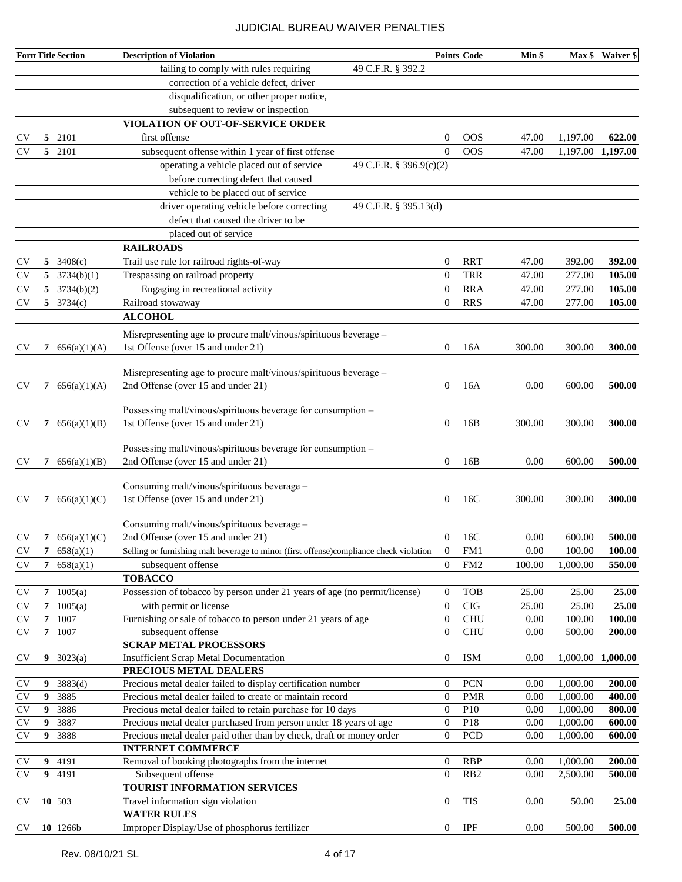|               |   | <b>FormTitle Section</b> | <b>Description of Violation</b>                                                        |                         | <b>Points Code</b> | Min \$ | Max \$   | Waiver \$         |
|---------------|---|--------------------------|----------------------------------------------------------------------------------------|-------------------------|--------------------|--------|----------|-------------------|
|               |   |                          | failing to comply with rules requiring<br>49 C.F.R. § 392.2                            |                         |                    |        |          |                   |
|               |   |                          | correction of a vehicle defect, driver                                                 |                         |                    |        |          |                   |
|               |   |                          | disqualification, or other proper notice,                                              |                         |                    |        |          |                   |
|               |   |                          | subsequent to review or inspection                                                     |                         |                    |        |          |                   |
|               |   |                          | VIOLATION OF OUT-OF-SERVICE ORDER                                                      |                         |                    |        |          |                   |
| CV            |   | 5 2101                   | first offense                                                                          | 0                       | <b>OOS</b>         | 47.00  | 1,197.00 | 622.00            |
| CV            |   | 5 2101                   | subsequent offense within 1 year of first offense                                      | $\overline{0}$          | <b>OOS</b>         | 47.00  |          | 1,197.00 1,197.00 |
|               |   |                          | operating a vehicle placed out of service                                              | 49 C.F.R. § 396.9(c)(2) |                    |        |          |                   |
|               |   |                          | before correcting defect that caused                                                   |                         |                    |        |          |                   |
|               |   |                          | vehicle to be placed out of service                                                    |                         |                    |        |          |                   |
|               |   |                          | driver operating vehicle before correcting                                             | 49 C.F.R. § 395.13(d)   |                    |        |          |                   |
|               |   |                          | defect that caused the driver to be                                                    |                         |                    |        |          |                   |
|               |   |                          | placed out of service                                                                  |                         |                    |        |          |                   |
|               |   |                          | <b>RAILROADS</b>                                                                       |                         |                    |        |          |                   |
| CV            | 5 | 3408(c)                  | Trail use rule for railroad rights-of-way                                              | 0                       | <b>RRT</b>         | 47.00  | 392.00   | 392.00            |
| CV            | 5 | 3734(b)(1)               | Trespassing on railroad property                                                       | $\theta$                | <b>TRR</b>         | 47.00  | 277.00   | 105.00            |
| <b>CV</b>     | 5 | 3734(b)(2)               | Engaging in recreational activity                                                      | $\boldsymbol{0}$        | <b>RRA</b>         | 47.00  | 277.00   | 105.00            |
| <b>CV</b>     | 5 | 3734(c)                  | Railroad stowaway                                                                      | $\boldsymbol{0}$        | <b>RRS</b>         | 47.00  | 277.00   | 105.00            |
|               |   |                          | <b>ALCOHOL</b>                                                                         |                         |                    |        |          |                   |
|               |   |                          | Misrepresenting age to procure malt/vinous/spirituous beverage -                       |                         |                    |        |          |                   |
| CV            | 7 | 656(a)(1)(A)             | 1st Offense (over 15 and under 21)                                                     | 0                       | 16A                | 300.00 | 300.00   | 300.00            |
|               |   |                          |                                                                                        |                         |                    |        |          |                   |
|               |   |                          | Misrepresenting age to procure malt/vinous/spirituous beverage –                       |                         |                    |        |          |                   |
| <b>CV</b>     | 7 | 656(a)(1)(A)             | 2nd Offense (over 15 and under 21)                                                     | $\overline{0}$          | 16A                | 0.00   | 600.00   | 500.00            |
|               |   |                          |                                                                                        |                         |                    |        |          |                   |
|               |   |                          | Possessing malt/vinous/spirituous beverage for consumption -                           |                         |                    |        |          |                   |
| <b>CV</b>     | 7 | 656(a)(1)(B)             | 1st Offense (over 15 and under 21)                                                     | 0                       | 16B                | 300.00 | 300.00   | 300.00            |
|               |   |                          | Possessing malt/vinous/spirituous beverage for consumption -                           |                         |                    |        |          |                   |
| CV            | 7 | 656(a)(1)(B)             | 2nd Offense (over 15 and under 21)                                                     | 0                       | 16B                | 0.00   | 600.00   | 500.00            |
|               |   |                          |                                                                                        |                         |                    |        |          |                   |
|               |   |                          | Consuming malt/vinous/spirituous beverage -                                            |                         |                    |        |          |                   |
| <b>CV</b>     | 7 | 656(a)(1)(C)             | 1st Offense (over 15 and under 21)                                                     | 0                       | 16C                | 300.00 | 300.00   | 300.00            |
|               |   |                          |                                                                                        |                         |                    |        |          |                   |
|               |   |                          | Consuming malt/vinous/spirituous beverage -                                            |                         |                    |        |          |                   |
| CV            | 7 | 656(a)(1)(C)             | 2nd Offense (over 15 and under 21)                                                     | 0                       | 16C                | 0.00   | 600.00   | 500.00            |
| <b>CV</b>     | 7 | 658(a)(1)                | Selling or furnishing malt beverage to minor (first offense)compliance check violation | $\theta$                | FM1                | 0.00   | 100.00   | 100.00            |
| <b>CV</b>     | 7 | 658(a)(1)                | subsequent offense                                                                     | $\mathbf{0}$            | FM <sub>2</sub>    | 100.00 | 1,000.00 | 550.00            |
|               |   |                          | <b>TOBACCO</b>                                                                         |                         |                    |        |          |                   |
| CV            |   | 7 $1005(a)$              | Possession of tobacco by person under 21 years of age (no permit/license)              | $\overline{0}$          | <b>TOB</b>         | 25.00  | 25.00    | 25.00             |
| <b>CV</b>     | 7 | 1005(a)                  | with permit or license                                                                 | $\mathbf{0}$            | <b>CIG</b>         | 25.00  | 25.00    | 25.00             |
| <b>CV</b>     | 7 | 1007                     | Furnishing or sale of tobacco to person under 21 years of age                          | $\boldsymbol{0}$        | <b>CHU</b>         | 0.00   | 100.00   | 100.00            |
| $\mathrm{CV}$ |   | 7 1007                   | subsequent offense                                                                     | $\boldsymbol{0}$        | <b>CHU</b>         | 0.00   | 500.00   | 200.00            |
| <b>CV</b>     | 9 | 3023(a)                  | <b>SCRAP METAL PROCESSORS</b><br><b>Insufficient Scrap Metal Documentation</b>         | $\boldsymbol{0}$        | <b>ISM</b>         | 0.00   | 1,000.00 | 1,000.00          |
|               |   |                          | PRECIOUS METAL DEALERS                                                                 |                         |                    |        |          |                   |
| <b>CV</b>     | 9 | 3883(d)                  | Precious metal dealer failed to display certification number                           | $\boldsymbol{0}$        | <b>PCN</b>         | 0.00   | 1,000.00 | 200.00            |
| $\mathrm{CV}$ | 9 | 3885                     | Precious metal dealer failed to create or maintain record                              | $\mathbf{0}$            | <b>PMR</b>         | 0.00   | 1,000.00 | 400.00            |
| $\mathrm{CV}$ | 9 | 3886                     | Precious metal dealer failed to retain purchase for 10 days                            | $\boldsymbol{0}$        | P10                | 0.00   | 1,000.00 | 800.00            |
| $\mathrm{CV}$ | 9 | 3887                     | Precious metal dealer purchased from person under 18 years of age                      | $\mathbf{0}$            | P18                | 0.00   | 1,000.00 | 600.00            |
| CV            | 9 | 3888                     | Precious metal dealer paid other than by check, draft or money order                   | $\boldsymbol{0}$        | <b>PCD</b>         | 0.00   | 1,000.00 | 600.00            |
|               |   |                          | <b>INTERNET COMMERCE</b>                                                               |                         |                    |        |          |                   |
| <b>CV</b>     | 9 | 4191                     | Removal of booking photographs from the internet                                       | $\boldsymbol{0}$        | <b>RBP</b>         | 0.00   | 1,000.00 | 200.00            |
| <b>CV</b>     | 9 | 4191                     | Subsequent offense                                                                     | $\overline{0}$          | RB <sub>2</sub>    | 0.00   | 2,500.00 | 500.00            |
|               |   |                          | TOURIST INFORMATION SERVICES                                                           |                         |                    |        |          |                   |
| <b>CV</b>     |   | 10 503                   | Travel information sign violation                                                      | $\boldsymbol{0}$        | <b>TIS</b>         | 0.00   | 50.00    | 25.00             |
|               |   |                          | <b>WATER RULES</b>                                                                     |                         |                    |        |          |                   |
| CV            |   | 10 1266b                 | Improper Display/Use of phosphorus fertilizer                                          | 0                       | <b>IPF</b>         | 0.00   | 500.00   | 500.00            |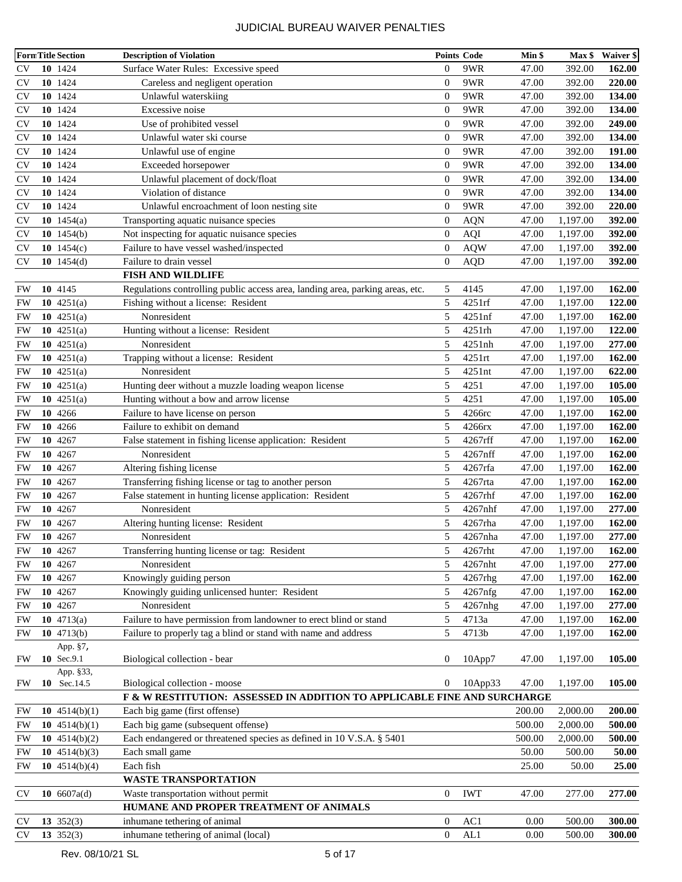|           | <b>FormTitle Section</b> | <b>Description of Violation</b>                                               |                  | <b>Points Code</b> | Min \$ | Max \$   | Waiver \$     |
|-----------|--------------------------|-------------------------------------------------------------------------------|------------------|--------------------|--------|----------|---------------|
| <b>CV</b> | 10 1424                  | Surface Water Rules: Excessive speed                                          | $\mathbf{0}$     | 9WR                | 47.00  | 392.00   | 162.00        |
| <b>CV</b> | 10 1424                  | Careless and negligent operation                                              | $\overline{0}$   | 9WR                | 47.00  | 392.00   | 220.00        |
| <b>CV</b> | 10 1424                  | Unlawful waterskiing                                                          | $\overline{0}$   | 9WR                | 47.00  | 392.00   | 134.00        |
| <b>CV</b> | 10 1424                  | Excessive noise                                                               | $\overline{0}$   | 9WR                | 47.00  | 392.00   | 134.00        |
| <b>CV</b> | 10 1424                  | Use of prohibited vessel                                                      | $\overline{0}$   | 9WR                | 47.00  | 392.00   | 249.00        |
| <b>CV</b> | 10 1424                  | Unlawful water ski course                                                     | $\mathbf{0}$     | 9WR                | 47.00  | 392.00   | 134.00        |
| <b>CV</b> | 10 1424                  | Unlawful use of engine                                                        | $\mathbf{0}$     | 9WR                | 47.00  | 392.00   | 191.00        |
| <b>CV</b> | 10 1424                  | Exceeded horsepower                                                           | $\mathbf{0}$     | 9WR                | 47.00  | 392.00   | 134.00        |
| <b>CV</b> | 10 1424                  | Unlawful placement of dock/float                                              | $\overline{0}$   | 9WR                | 47.00  | 392.00   | 134.00        |
| CV        | 10 1424                  | Violation of distance                                                         | $\mathbf{0}$     | 9WR                | 47.00  | 392.00   | 134.00        |
| <b>CV</b> | 10 1424                  | Unlawful encroachment of loon nesting site                                    | $\overline{0}$   | 9WR                | 47.00  | 392.00   | 220.00        |
| <b>CV</b> | 10 $1454(a)$             | Transporting aquatic nuisance species                                         | $\overline{0}$   | <b>AQN</b>         | 47.00  | 1,197.00 | 392.00        |
| <b>CV</b> | 10 $1454(b)$             | Not inspecting for aquatic nuisance species                                   | $\boldsymbol{0}$ | AQI                | 47.00  | 1,197.00 | 392.00        |
| <b>CV</b> | 10 $1454(c)$             | Failure to have vessel washed/inspected                                       | $\mathbf{0}$     | <b>AQW</b>         | 47.00  | 1,197.00 | 392.00        |
| <b>CV</b> | 10 $1454(d)$             | Failure to drain vessel                                                       | $\mathbf{0}$     | AQD                | 47.00  | 1,197.00 | 392.00        |
|           |                          | <b>FISH AND WILDLIFE</b>                                                      |                  |                    |        |          |               |
| FW        | 10 4145                  | Regulations controlling public access area, landing area, parking areas, etc. | 5                | 4145               | 47.00  | 1,197.00 | 162.00        |
| FW        | 10 $4251(a)$             | Fishing without a license: Resident                                           | 5                | 4251rf             | 47.00  | 1,197.00 | 122.00        |
| FW        | 10 $4251(a)$             | Nonresident                                                                   | 5                | 4251nf             | 47.00  | 1,197.00 | 162.00        |
| FW        | 10 $4251(a)$             | Hunting without a license: Resident                                           | 5                | 4251rh             | 47.00  | 1,197.00 | 122.00        |
| <b>FW</b> | 10 $4251(a)$             | Nonresident                                                                   | 5                | 4251nh             | 47.00  | 1,197.00 | 277.00        |
| <b>FW</b> | 10 $4251(a)$             | Trapping without a license: Resident                                          | 5                | 4251rt             | 47.00  | 1,197.00 | 162.00        |
| <b>FW</b> | 10 $4251(a)$             | Nonresident                                                                   | 5                | 4251nt             | 47.00  | 1,197.00 | 622.00        |
| <b>FW</b> | 10 $4251(a)$             | Hunting deer without a muzzle loading weapon license                          | 5                | 4251               | 47.00  | 1,197.00 | 105.00        |
| <b>FW</b> | 10 $4251(a)$             | Hunting without a bow and arrow license                                       | 5                | 4251               | 47.00  | 1,197.00 | 105.00        |
| FW        | 10 4266                  | Failure to have license on person                                             | 5                | 4266rc             | 47.00  | 1,197.00 | 162.00        |
| <b>FW</b> | 10 4266                  | Failure to exhibit on demand                                                  | 5                | 4266rx             | 47.00  | 1,197.00 | 162.00        |
| <b>FW</b> | 10 4267                  | False statement in fishing license application: Resident                      | 5                | 4267rff            | 47.00  | 1,197.00 | 162.00        |
| <b>FW</b> | 10 4267                  | Nonresident                                                                   | 5                | 4267nff            | 47.00  | 1,197.00 | 162.00        |
| <b>FW</b> | 10 4267                  | Altering fishing license                                                      | 5                | 4267rfa            | 47.00  | 1,197.00 | 162.00        |
| FW        | 10 4267                  | Transferring fishing license or tag to another person                         | 5                | 4267rta            | 47.00  | 1,197.00 | 162.00        |
| FW        | 10 4267                  | False statement in hunting license application: Resident                      | 5                | 4267rhf            | 47.00  | 1,197.00 | 162.00        |
| <b>FW</b> | 10 4267                  | Nonresident                                                                   | 5                | 4267nhf            | 47.00  | 1,197.00 | 277.00        |
| FW        | 10 4267                  | Altering hunting license: Resident                                            | 5                | 4267rha            | 47.00  | 1,197.00 | 162.00        |
| FW        | 10 4267                  | Nonresident                                                                   | 5                | 4267nha            | 47.00  | 1,197.00 | 277.00        |
| FW        | 10 4267                  | Transferring hunting license or tag: Resident                                 | 5                | 4267rht            | 47.00  | 1,197.00 | <b>162.00</b> |
| FW        | 10 4267                  | Nonresident                                                                   | 5                | 4267nht            | 47.00  | 1,197.00 | 277.00        |
| <b>FW</b> | 10 4267                  | Knowingly guiding person                                                      | 5                | 4267rhg            | 47.00  | 1,197.00 | 162.00        |
| <b>FW</b> | 10 4267                  | Knowingly guiding unlicensed hunter: Resident                                 | 5                | 4267nfg            | 47.00  | 1,197.00 | 162.00        |
| <b>FW</b> | 10 4267                  | Nonresident                                                                   | 5                | 4267nhg            | 47.00  | 1,197.00 | 277.00        |
| <b>FW</b> | 10 $4713(a)$             | Failure to have permission from landowner to erect blind or stand             | 5                | 4713a              | 47.00  | 1,197.00 | 162.00        |
| FW        | 10 $4713(b)$             | Failure to properly tag a blind or stand with name and address                | 5                | 4713b              | 47.00  | 1,197.00 | 162.00        |
|           | App. §7,                 |                                                                               |                  |                    |        |          |               |
| FW        | 10 Sec.9.1               | Biological collection - bear                                                  | 0                | $10$ App $7$       | 47.00  | 1,197.00 | 105.00        |
|           | App. §33,                |                                                                               |                  |                    |        |          |               |
| FW        | 10 Sec. 14.5             | Biological collection - moose                                                 | $\boldsymbol{0}$ | $10$ App $33$      | 47.00  | 1,197.00 | 105.00        |
|           |                          | F & W RESTITUTION: ASSESSED IN ADDITION TO APPLICABLE FINE AND SURCHARGE      |                  |                    |        |          |               |
| FW        | 10 $4514(b)(1)$          | Each big game (first offense)                                                 |                  |                    | 200.00 | 2,000.00 | 200.00        |
| FW        | 10 $4514(b)(1)$          | Each big game (subsequent offense)                                            |                  |                    | 500.00 | 2,000.00 | 500.00        |
| FW        | 10 $4514(b)(2)$          | Each endangered or threatened species as defined in 10 V.S.A. § 5401          |                  |                    | 500.00 | 2,000.00 | 500.00        |
| <b>FW</b> | 10 $4514(b)(3)$          | Each small game                                                               |                  |                    | 50.00  | 500.00   | 50.00         |
| <b>FW</b> | 10 $4514(b)(4)$          | Each fish                                                                     |                  |                    | 25.00  | 50.00    | 25.00         |
|           |                          | <b>WASTE TRANSPORTATION</b>                                                   |                  |                    |        |          |               |
| <b>CV</b> | 10 $6607a(d)$            | Waste transportation without permit                                           | $\boldsymbol{0}$ | <b>IWT</b>         | 47.00  | 277.00   | 277.00        |
|           |                          | HUMANE AND PROPER TREATMENT OF ANIMALS                                        |                  |                    |        |          |               |
| <b>CV</b> | 13 $352(3)$              | inhumane tethering of animal                                                  | $\boldsymbol{0}$ | AC1                | 0.00   | 500.00   | 300.00        |
| <b>CV</b> | 13 $352(3)$              | inhumane tethering of animal (local)                                          | $\boldsymbol{0}$ | AL1                | 0.00   | 500.00   | 300.00        |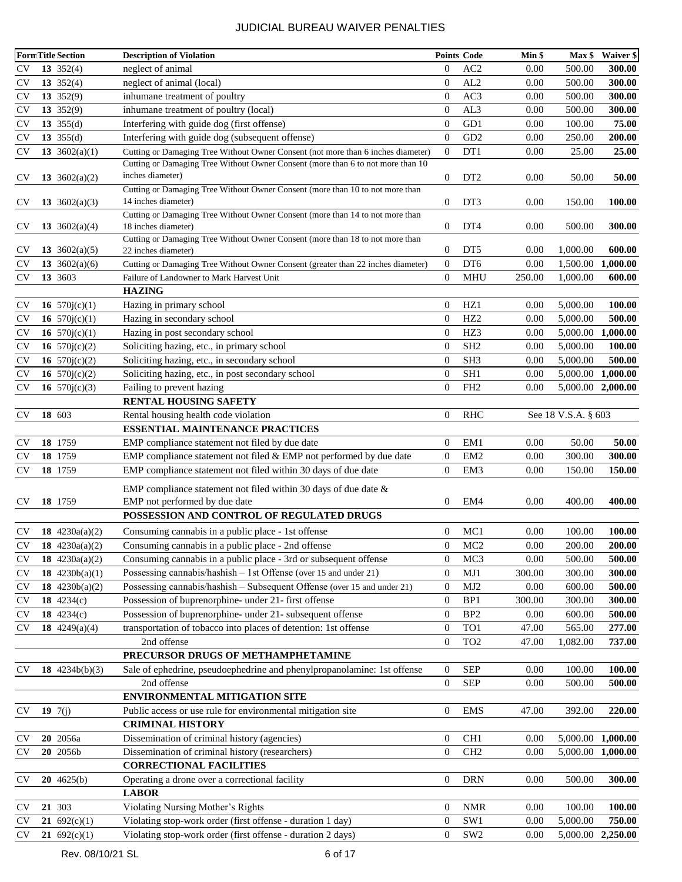|                        | <b>FormTitle Section</b> | <b>Description of Violation</b>                                                                      |                  | <b>Points Code</b> | Min \$ | Max \$               | <b>Waiver \$</b> |
|------------------------|--------------------------|------------------------------------------------------------------------------------------------------|------------------|--------------------|--------|----------------------|------------------|
| <b>CV</b>              | 13 $352(4)$              | neglect of animal                                                                                    | $\mathbf{0}$     | AC <sub>2</sub>    | 0.00   | 500.00               | 300.00           |
| <b>CV</b>              | $13 \t352(4)$            | neglect of animal (local)                                                                            | $\boldsymbol{0}$ | AL2                | 0.00   | 500.00               | 300.00           |
| <b>CV</b>              | 13 $352(9)$              | inhumane treatment of poultry                                                                        | $\boldsymbol{0}$ | AC3                | 0.00   | 500.00               | 300.00           |
| <b>CV</b>              | 13 $352(9)$              | inhumane treatment of poultry (local)                                                                | $\mathbf{0}$     | AL3                | 0.00   | 500.00               | 300.00           |
| <b>CV</b>              | 13 $355(d)$              | Interfering with guide dog (first offense)                                                           | $\mathbf{0}$     | GD1                | 0.00   | 100.00               | 75.00            |
| <b>CV</b>              | 13 $355(d)$              | Interfering with guide dog (subsequent offense)                                                      | $\boldsymbol{0}$ | GD <sub>2</sub>    | 0.00   | 250.00               | 200.00           |
| <b>CV</b>              | 13 $3602(a)(1)$          | Cutting or Damaging Tree Without Owner Consent (not more than 6 inches diameter)                     | $\boldsymbol{0}$ | DT <sub>1</sub>    | 0.00   | 25.00                | 25.00            |
|                        |                          | Cutting or Damaging Tree Without Owner Consent (more than 6 to not more than 10                      |                  |                    |        |                      |                  |
| CV <sub></sub>         | 13 $3602(a)(2)$          | inches diameter)                                                                                     | $\mathbf{0}$     | DT <sub>2</sub>    | 0.00   | 50.00                | 50.00            |
|                        |                          | Cutting or Damaging Tree Without Owner Consent (more than 10 to not more than                        |                  |                    |        |                      |                  |
| <b>CV</b>              | 13 $3602(a)(3)$          | 14 inches diameter)                                                                                  | 0                | DT3                | 0.00   | 150.00               | 100.00           |
|                        |                          | Cutting or Damaging Tree Without Owner Consent (more than 14 to not more than                        |                  |                    |        |                      |                  |
| <b>CV</b>              | 13 $3602(a)(4)$          | 18 inches diameter)                                                                                  | 0                | DT <sub>4</sub>    | 0.00   | 500.00               | 300.00           |
| <b>CV</b>              | 13 $3602(a)(5)$          | Cutting or Damaging Tree Without Owner Consent (more than 18 to not more than<br>22 inches diameter) | $\boldsymbol{0}$ | DT <sub>5</sub>    | 0.00   | 1,000.00             | 600.00           |
| <b>CV</b>              | 13 $3602(a)(6)$          | Cutting or Damaging Tree Without Owner Consent (greater than 22 inches diameter)                     | $\mathbf{0}$     | DT <sub>6</sub>    | 0.00   | 1,500.00             | 1,000.00         |
| <b>CV</b>              | 13 3603                  | Failure of Landowner to Mark Harvest Unit                                                            | $\mathbf{0}$     | MHU                | 250.00 | 1,000.00             | 600.00           |
|                        |                          | <b>HAZING</b>                                                                                        |                  |                    |        |                      |                  |
| <b>CV</b>              | 16 $570j(c)(1)$          |                                                                                                      | $\mathbf{0}$     | HZ1                | 0.00   | 5,000.00             | 100.00           |
| <b>CV</b>              | 16 $570j(c)(1)$          | Hazing in primary school<br>Hazing in secondary school                                               | $\mathbf{0}$     | HZ <sub>2</sub>    | 0.00   | 5,000.00             | 500.00           |
|                        |                          | Hazing in post secondary school                                                                      | $\mathbf{0}$     | HZ3                | 0.00   |                      | 1,000.00         |
| <b>CV</b><br><b>CV</b> | 16 $570j(c)(1)$          |                                                                                                      | $\boldsymbol{0}$ | SH <sub>2</sub>    | 0.00   | 5,000.00<br>5,000.00 | 100.00           |
|                        | 16 $570j(c)(2)$          | Soliciting hazing, etc., in primary school                                                           |                  | SH <sub>3</sub>    |        |                      | 500.00           |
| <b>CV</b>              | 16 $570j(c)(2)$          | Soliciting hazing, etc., in secondary school                                                         | $\boldsymbol{0}$ |                    | 0.00   | 5,000.00             |                  |
| <b>CV</b>              | 16 $570j(c)(2)$          | Soliciting hazing, etc., in post secondary school                                                    | $\boldsymbol{0}$ | SH1                | 0.00   | 5,000.00             | 1,000.00         |
| <b>CV</b>              | 16 $570j(c)(3)$          | Failing to prevent hazing                                                                            | $\mathbf{0}$     | FH <sub>2</sub>    | 0.00   | 5,000.00             | 2,000.00         |
|                        |                          | RENTAL HOUSING SAFETY                                                                                |                  |                    |        |                      |                  |
| <b>CV</b>              | 18 603                   | Rental housing health code violation                                                                 | $\boldsymbol{0}$ | <b>RHC</b>         |        | See 18 V.S.A. § 603  |                  |
|                        |                          | <b>ESSENTIAL MAINTENANCE PRACTICES</b>                                                               |                  |                    |        |                      |                  |
| <b>CV</b>              | 18 1759                  | EMP compliance statement not filed by due date                                                       | $\mathbf{0}$     | EM <sub>1</sub>    | 0.00   | 50.00                | 50.00            |
| <b>CV</b>              | 18 1759                  | EMP compliance statement not filed $&$ EMP not performed by due date                                 | $\mathbf{0}$     | EM <sub>2</sub>    | 0.00   | 300.00               | 300.00           |
| <b>CV</b>              | 18 1759                  | EMP compliance statement not filed within 30 days of due date                                        | $\overline{0}$   | EM <sub>3</sub>    | 0.00   | 150.00               | 150.00           |
|                        |                          | EMP compliance statement not filed within 30 days of due date $\&$                                   |                  |                    |        |                      |                  |
| <b>CV</b>              | 18 1759                  | EMP not performed by due date                                                                        | 0                | EM4                | 0.00   | 400.00               | 400.00           |
|                        |                          | POSSESSION AND CONTROL OF REGULATED DRUGS                                                            |                  |                    |        |                      |                  |
| <b>CV</b>              | 18 $4230a(a)(2)$         | Consuming cannabis in a public place - 1st offense                                                   | $\overline{0}$   | MC1                | 0.00   | 100.00               | 100.00           |
| <b>CV</b>              | 18 $4230a(a)(2)$         | Consuming cannabis in a public place - 2nd offense                                                   | $\mathbf{0}$     | MC <sub>2</sub>    | 0.00   | 200.00               | 200.00           |
| <b>CV</b>              | 18 $4230a(a)(2)$         | Consuming cannabis in a public place - 3rd or subsequent offense                                     | $\boldsymbol{0}$ | MC <sub>3</sub>    | 0.00   | 500.00               | 500.00           |
| <b>CV</b>              | 18 $4230b(a)(1)$         | Possessing cannabis/hashish - 1st Offense (over 15 and under 21)                                     | $\mathbf{0}$     | MJ1                | 300.00 | 300.00               | 300.00           |
| <b>CV</b>              | 18 $4230b(a)(2)$         | Possessing cannabis/hashish - Subsequent Offense (over 15 and under 21)                              | $\boldsymbol{0}$ | MJ2                | 0.00   | 600.00               | 500.00           |
| <b>CV</b>              | 18 $4234(c)$             | Possession of buprenorphine- under 21- first offense                                                 | $\boldsymbol{0}$ | BP1                | 300.00 | 300.00               | 300.00           |
| <b>CV</b>              | 18 $4234(c)$             | Possession of buprenorphine- under 21- subsequent offense                                            | $\boldsymbol{0}$ | BP <sub>2</sub>    | 0.00   | 600.00               | 500.00           |
| <b>CV</b>              | 18 $4249(a)(4)$          | transportation of tobacco into places of detention: 1st offense                                      | $\mathbf{0}$     | TO1                | 47.00  | 565.00               | 277.00           |
|                        |                          | 2nd offense                                                                                          | $\boldsymbol{0}$ | TO <sub>2</sub>    | 47.00  | 1,082.00             | 737.00           |
|                        |                          | PRECURSOR DRUGS OF METHAMPHETAMINE                                                                   |                  |                    |        |                      |                  |
| <b>CV</b>              | 18 $4234b(b)(3)$         | Sale of ephedrine, pseudoephedrine and phenylpropanolamine: 1st offense                              | $\mathbf{0}$     | <b>SEP</b>         | 0.00   | 100.00               | 100.00           |
|                        |                          | 2nd offense                                                                                          | $\boldsymbol{0}$ | <b>SEP</b>         | 0.00   | 500.00               | 500.00           |
|                        |                          | ENVIRONMENTAL MITIGATION SITE                                                                        |                  |                    |        |                      |                  |
| <b>CV</b>              | 19 $7(j)$                | Public access or use rule for environmental mitigation site                                          | $\boldsymbol{0}$ | <b>EMS</b>         | 47.00  | 392.00               | 220.00           |
|                        |                          | <b>CRIMINAL HISTORY</b>                                                                              |                  |                    |        |                      |                  |
| <b>CV</b>              | 20 2056a                 | Dissemination of criminal history (agencies)                                                         | $\boldsymbol{0}$ | CH <sub>1</sub>    | 0.00   | 5,000.00             | 1,000.00         |
| <b>CV</b>              | 20 2056b                 | Dissemination of criminal history (researchers)                                                      | $\boldsymbol{0}$ | CH <sub>2</sub>    | 0.00   | 5,000.00             | 1,000.00         |
|                        |                          | <b>CORRECTIONAL FACILITIES</b>                                                                       |                  |                    |        |                      |                  |
|                        |                          |                                                                                                      | $\boldsymbol{0}$ | <b>DRN</b>         | 0.00   | 500.00               | 300.00           |
| <b>CV</b>              | $20 \t4625(b)$           | Operating a drone over a correctional facility                                                       |                  |                    |        |                      |                  |
|                        |                          | <b>LABOR</b>                                                                                         |                  |                    |        |                      |                  |
| <b>CV</b>              | 21 303                   | Violating Nursing Mother's Rights                                                                    | $\boldsymbol{0}$ | <b>NMR</b><br>SW1  | 0.00   | 100.00               | 100.00<br>750.00 |
| <b>CV</b>              | 21 $692(c)(1)$           | Violating stop-work order (first offense - duration 1 day)                                           | $\boldsymbol{0}$ |                    | 0.00   | 5,000.00             |                  |
| <b>CV</b>              | 21 $692(c)(1)$           | Violating stop-work order (first offense - duration 2 days)                                          | $\boldsymbol{0}$ | SW <sub>2</sub>    | 0.00   | 5,000.00             | 2,250.00         |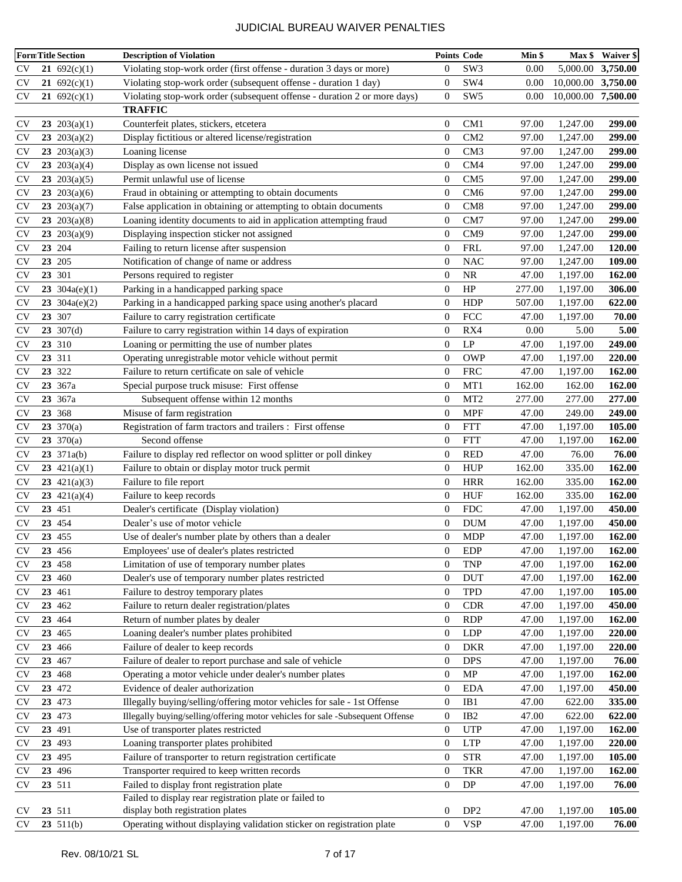|                         | <b>FormTitle Section</b> | <b>Description of Violation</b>                                               |                  | <b>Points Code</b> | Min \$ |                    | Max \$ Waiver \$ |
|-------------------------|--------------------------|-------------------------------------------------------------------------------|------------------|--------------------|--------|--------------------|------------------|
| <b>CV</b>               | 21 $692(c)(1)$           | Violating stop-work order (first offense - duration 3 days or more)           | $\overline{0}$   | SW <sub>3</sub>    | 0.00   | 5,000.00           | 3,750.00         |
| <b>CV</b>               | 21 $692(c)(1)$           | Violating stop-work order (subsequent offense - duration 1 day)               | $\boldsymbol{0}$ | SW4                | 0.00   | 10,000.00          | 3,750.00         |
| <b>CV</b>               | 21 $692(c)(1)$           | Violating stop-work order (subsequent offense - duration 2 or more days)      | $\overline{0}$   | SW <sub>5</sub>    | 0.00   | 10,000.00 7,500.00 |                  |
|                         |                          | <b>TRAFFIC</b>                                                                |                  |                    |        |                    |                  |
| $\mathbf{C} \mathbf{V}$ | 23 $203(a)(1)$           | Counterfeit plates, stickers, etcetera                                        | $\overline{0}$   | CM1                | 97.00  | 1,247.00           | 299.00           |
| <b>CV</b>               | 23 $203(a)(2)$           | Display fictitious or altered license/registration                            | $\boldsymbol{0}$ | CM2                | 97.00  | 1,247.00           | 299.00           |
| <b>CV</b>               | 23 $203(a)(3)$           | Loaning license                                                               | $\boldsymbol{0}$ | CM <sub>3</sub>    | 97.00  | 1,247.00           | 299.00           |
| <b>CV</b>               | 23 $203(a)(4)$           | Display as own license not issued                                             | $\boldsymbol{0}$ | CM4                | 97.00  | 1,247.00           | 299.00           |
| <b>CV</b>               | 23 $203(a)(5)$           | Permit unlawful use of license                                                | $\overline{0}$   | CM <sub>5</sub>    | 97.00  | 1,247.00           | 299.00           |
| <b>CV</b>               | 23 $203(a)(6)$           | Fraud in obtaining or attempting to obtain documents                          | $\boldsymbol{0}$ | CM <sub>6</sub>    | 97.00  | 1,247.00           | 299.00           |
| <b>CV</b>               | 23 $203(a)(7)$           | False application in obtaining or attempting to obtain documents              | $\boldsymbol{0}$ | CM <sub>8</sub>    | 97.00  | 1,247.00           | 299.00           |
| <b>CV</b>               | 23 $203(a)(8)$           | Loaning identity documents to aid in application attempting fraud             | $\boldsymbol{0}$ | CM7                | 97.00  | 1,247.00           | 299.00           |
| <b>CV</b>               | 23 $203(a)(9)$           | Displaying inspection sticker not assigned                                    | $\boldsymbol{0}$ | CM <sub>9</sub>    | 97.00  | 1,247.00           | 299.00           |
| <b>CV</b>               | 23 204                   | Failing to return license after suspension                                    | $\boldsymbol{0}$ | FRL                | 97.00  | 1,247.00           | 120.00           |
| <b>CV</b>               | 23 205                   | Notification of change of name or address                                     | $\boldsymbol{0}$ | <b>NAC</b>         | 97.00  | 1,247.00           | 109.00           |
| <b>CV</b>               | 23 301                   | Persons required to register                                                  | $\boldsymbol{0}$ | $\rm NR$           | 47.00  | 1,197.00           | 162.00           |
| <b>CV</b>               | 23 $304a(e)(1)$          | Parking in a handicapped parking space                                        | $\boldsymbol{0}$ | HP                 | 277.00 | 1,197.00           | 306.00           |
| <b>CV</b>               | 23 $304a(e)(2)$          | Parking in a handicapped parking space using another's placard                | $\overline{0}$   | <b>HDP</b>         | 507.00 | 1,197.00           | 622.00           |
| <b>CV</b>               | 23 307                   | Failure to carry registration certificate                                     | $\overline{0}$   | FCC                | 47.00  | 1,197.00           | 70.00            |
| <b>CV</b>               | $23 \text{ } 307(d)$     | Failure to carry registration within 14 days of expiration                    | $\boldsymbol{0}$ | RX4                | 0.00   | 5.00               | 5.00             |
| <b>CV</b>               | 23 310                   | Loaning or permitting the use of number plates                                | $\boldsymbol{0}$ | LP                 | 47.00  | 1,197.00           | 249.00           |
| <b>CV</b>               | 23 311                   | Operating unregistrable motor vehicle without permit                          | $\overline{0}$   | <b>OWP</b>         | 47.00  | 1,197.00           | 220.00           |
| <b>CV</b>               | 23 322                   | Failure to return certificate on sale of vehicle                              | $\boldsymbol{0}$ | <b>FRC</b>         | 47.00  | 1,197.00           | 162.00           |
| <b>CV</b>               | 23 367a                  | Special purpose truck misuse: First offense                                   | $\boldsymbol{0}$ | MT1                | 162.00 | 162.00             | 162.00           |
| <b>CV</b>               | 23 367a                  | Subsequent offense within 12 months                                           | $\boldsymbol{0}$ | MT <sub>2</sub>    | 277.00 | 277.00             | 277.00           |
| <b>CV</b>               | 23 368                   | Misuse of farm registration                                                   | $\boldsymbol{0}$ | <b>MPF</b>         | 47.00  | 249.00             | 249.00           |
| <b>CV</b>               | 23 370(a)                | Registration of farm tractors and trailers : First offense                    | $\boldsymbol{0}$ | <b>FTT</b>         | 47.00  | 1,197.00           | 105.00           |
| <b>CV</b>               | 23 $370(a)$              | Second offense                                                                | $\boldsymbol{0}$ | <b>FTT</b>         | 47.00  | 1,197.00           | 162.00           |
| <b>CV</b>               | $23 \t371a(b)$           | Failure to display red reflector on wood splitter or poll dinkey              | $\boldsymbol{0}$ | <b>RED</b>         | 47.00  | 76.00              | 76.00            |
| <b>CV</b>               | 23 $421(a)(1)$           | Failure to obtain or display motor truck permit                               | $\overline{0}$   | <b>HUP</b>         | 162.00 | 335.00             | 162.00           |
| <b>CV</b>               | 23 $421(a)(3)$           | Failure to file report                                                        | $\boldsymbol{0}$ | <b>HRR</b>         | 162.00 | 335.00             | 162.00           |
| <b>CV</b>               | 23 $421(a)(4)$           | Failure to keep records                                                       | $\boldsymbol{0}$ | HUF                | 162.00 | 335.00             | 162.00           |
| <b>CV</b>               | 23 451                   | Dealer's certificate (Display violation)                                      | $\boldsymbol{0}$ | <b>FDC</b>         | 47.00  | 1,197.00           | 450.00           |
| <b>CV</b>               | 23 454                   | Dealer's use of motor vehicle                                                 | $\overline{0}$   | <b>DUM</b>         | 47.00  | 1,197.00           | 450.00           |
| <b>CV</b>               | 23 455                   | Use of dealer's number plate by others than a dealer                          | $\overline{0}$   | <b>MDP</b>         | 47.00  | 1,197.00           | 162.00           |
| <b>CV</b>               | 23 456                   | Employees' use of dealer's plates restricted                                  | 0                | <b>EDP</b>         | 47.00  | 1,197.00           | 162.00           |
| <b>CV</b>               | 23 458                   | Limitation of use of temporary number plates                                  | $\boldsymbol{0}$ | <b>TNP</b>         | 47.00  | 1,197.00           | 162.00           |
| <b>CV</b>               | 23 460                   | Dealer's use of temporary number plates restricted                            | $\boldsymbol{0}$ | <b>DUT</b>         | 47.00  | 1,197.00           | 162.00           |
| <b>CV</b>               | 23 461                   | Failure to destroy temporary plates                                           | $\boldsymbol{0}$ | <b>TPD</b>         | 47.00  | 1,197.00           | 105.00           |
| <b>CV</b>               | 23 462                   | Failure to return dealer registration/plates                                  | $\boldsymbol{0}$ | <b>CDR</b>         | 47.00  | 1,197.00           | 450.00           |
| <b>CV</b>               | 23 464                   | Return of number plates by dealer                                             | $\boldsymbol{0}$ | <b>RDP</b>         | 47.00  | 1,197.00           | 162.00           |
| <b>CV</b>               | 23 465                   | Loaning dealer's number plates prohibited                                     | $\boldsymbol{0}$ | LDP                | 47.00  | 1,197.00           | 220.00           |
| <b>CV</b>               | 23 466                   | Failure of dealer to keep records                                             | $\boldsymbol{0}$ | <b>DKR</b>         | 47.00  | 1,197.00           | 220.00           |
| <b>CV</b>               | 23 467                   | Failure of dealer to report purchase and sale of vehicle                      | $\boldsymbol{0}$ | <b>DPS</b>         | 47.00  | 1,197.00           | 76.00            |
| <b>CV</b>               | 23 468                   | Operating a motor vehicle under dealer's number plates                        | $\boldsymbol{0}$ | MP                 | 47.00  | 1,197.00           | 162.00           |
| <b>CV</b>               | 23 472                   | Evidence of dealer authorization                                              | $\boldsymbol{0}$ | <b>EDA</b>         | 47.00  | 1,197.00           | 450.00           |
| <b>CV</b>               | 23 473                   | Illegally buying/selling/offering motor vehicles for sale - 1st Offense       | $\boldsymbol{0}$ | IB1                | 47.00  | 622.00             | 335.00           |
| <b>CV</b>               | 23 473                   | Illegally buying/selling/offering motor vehicles for sale -Subsequent Offense | $\boldsymbol{0}$ | IB2                | 47.00  | 622.00             | 622.00           |
| <b>CV</b>               | 23 491                   | Use of transporter plates restricted                                          | $\boldsymbol{0}$ | <b>UTP</b>         | 47.00  | 1,197.00           | 162.00           |
| <b>CV</b>               | 23 493                   | Loaning transporter plates prohibited                                         | $\boldsymbol{0}$ | <b>LTP</b>         | 47.00  | 1,197.00           | 220.00           |
| <b>CV</b>               | 23 495                   | Failure of transporter to return registration certificate                     | 0                | <b>STR</b>         | 47.00  | 1,197.00           | 105.00           |
| <b>CV</b>               | 23 496                   | Transporter required to keep written records                                  | $\boldsymbol{0}$ | <b>TKR</b>         | 47.00  | 1,197.00           | 162.00           |
| <b>CV</b>               | 23 511                   | Failed to display front registration plate                                    | $\boldsymbol{0}$ | DP                 | 47.00  | 1,197.00           | 76.00            |
|                         |                          | Failed to display rear registration plate or failed to                        |                  |                    |        |                    |                  |
| <b>CV</b>               | 23 511                   | display both registration plates                                              | $\boldsymbol{0}$ | DP <sub>2</sub>    | 47.00  | 1,197.00           | 105.00           |
| <b>CV</b>               | 23 $511(b)$              | Operating without displaying validation sticker on registration plate         | $\boldsymbol{0}$ | <b>VSP</b>         | 47.00  | 1,197.00           | 76.00            |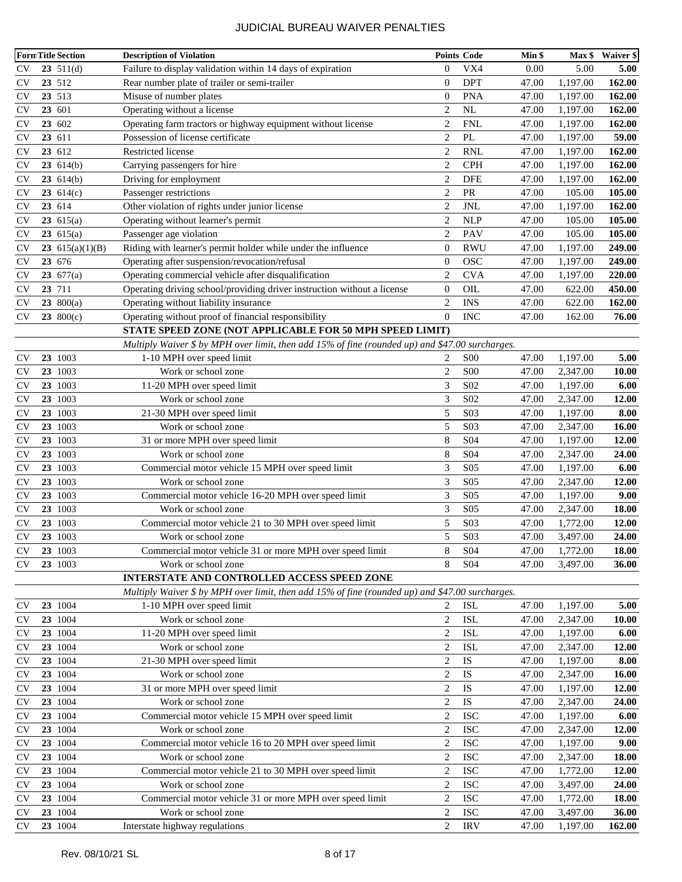|           | <b>FormTitle Section</b> | <b>Description of Violation</b>                                                                   |                  | <b>Points Code</b> | Min \$ |          | Max \$ Waiver \$ |
|-----------|--------------------------|---------------------------------------------------------------------------------------------------|------------------|--------------------|--------|----------|------------------|
| CV        | $23 \t511(d)$            | Failure to display validation within 14 days of expiration                                        | $\overline{0}$   | VX4                | 0.00   | 5.00     | 5.00             |
| CV        | 23 512                   | Rear number plate of trailer or semi-trailer                                                      | $\overline{0}$   | <b>DPT</b>         | 47.00  | 1,197.00 | 162.00           |
| CV        | 23 513                   | Misuse of number plates                                                                           | $\boldsymbol{0}$ | <b>PNA</b>         | 47.00  | 1,197.00 | 162.00           |
| <b>CV</b> | 23 601                   | Operating without a license                                                                       | $\overline{2}$   | NL                 | 47.00  | 1,197.00 | 162.00           |
| <b>CV</b> | 23 602                   | Operating farm tractors or highway equipment without license                                      | 2                | <b>FNL</b>         | 47.00  | 1,197.00 | 162.00           |
| <b>CV</b> | 23 611                   | Possession of license certificate                                                                 | $\overline{c}$   | PL                 | 47.00  | 1,197.00 | 59.00            |
| <b>CV</b> | 23 612                   | Restricted license                                                                                | $\overline{2}$   | <b>RNL</b>         | 47.00  | 1,197.00 | 162.00           |
| <b>CV</b> | 23 614(b)                | Carrying passengers for hire                                                                      | $\overline{2}$   | <b>CPH</b>         | 47.00  | 1,197.00 | 162.00           |
| <b>CV</b> | 23614(b)                 | Driving for employment                                                                            | $\overline{2}$   | <b>DFE</b>         | 47.00  | 1,197.00 | 162.00           |
| <b>CV</b> | 23 $614(c)$              | Passenger restrictions                                                                            | $\overline{2}$   | PR                 | 47.00  | 105.00   | 105.00           |
| <b>CV</b> | 23 614                   | Other violation of rights under junior license                                                    | $\overline{2}$   | JNL                | 47.00  | 1,197.00 | 162.00           |
| <b>CV</b> | 23 $615(a)$              | Operating without learner's permit                                                                | $\overline{c}$   | <b>NLP</b>         | 47.00  | 105.00   | 105.00           |
| <b>CV</b> | 23 $615(a)$              | Passenger age violation                                                                           | $\overline{2}$   | PAV                | 47.00  | 105.00   | 105.00           |
| <b>CV</b> | 23 $615(a)(1)(B)$        | Riding with learner's permit holder while under the influence                                     | $\mathbf{0}$     | <b>RWU</b>         | 47.00  | 1,197.00 | 249.00           |
| CV        | 23 676                   | Operating after suspension/revocation/refusal                                                     | $\overline{0}$   | <b>OSC</b>         | 47.00  | 1,197.00 | 249.00           |
| <b>CV</b> | 23.677(a)                | Operating commercial vehicle after disqualification                                               | $\overline{2}$   | <b>CVA</b>         | 47.00  | 1,197.00 | 220.00           |
| <b>CV</b> | 23 711                   | Operating driving school/providing driver instruction without a license                           | $\mathbf{0}$     | OIL                | 47.00  | 622.00   | 450.00           |
| <b>CV</b> | 23 $800(a)$              | Operating without liability insurance                                                             | $\overline{2}$   | <b>INS</b>         | 47.00  | 622.00   | 162.00           |
| <b>CV</b> | 23 $800(c)$              | Operating without proof of financial responsibility                                               | $\overline{0}$   | <b>INC</b>         | 47.00  | 162.00   | 76.00            |
|           |                          | STATE SPEED ZONE (NOT APPLICABLE FOR 50 MPH SPEED LIMIT)                                          |                  |                    |        |          |                  |
|           |                          | Multiply Waiver \$ by MPH over limit, then add 15% of fine (rounded up) and \$47.00 surcharges.   |                  |                    |        |          |                  |
| <b>CV</b> | 23 1003                  | 1-10 MPH over speed limit                                                                         | 2                | <b>S00</b>         | 47.00  | 1,197.00 | 5.00             |
| <b>CV</b> | 23 1003                  | Work or school zone                                                                               | $\overline{c}$   | <b>S00</b>         | 47.00  | 2,347.00 | 10.00            |
| <b>CV</b> | 23 1003                  | 11-20 MPH over speed limit                                                                        | 3                | S <sub>02</sub>    | 47.00  | 1,197.00 | 6.00             |
| <b>CV</b> | 23 1003                  | Work or school zone                                                                               | 3                | S <sub>02</sub>    | 47.00  | 2,347.00 | 12.00            |
| <b>CV</b> | 23 1003                  | 21-30 MPH over speed limit                                                                        | 5                | S <sub>03</sub>    | 47.00  | 1,197.00 | 8.00             |
| <b>CV</b> | 23 1003                  | Work or school zone                                                                               | 5                | S03                | 47.00  | 2,347.00 | 16.00            |
| <b>CV</b> | 23 1003                  | 31 or more MPH over speed limit                                                                   | 8                | S <sub>04</sub>    | 47.00  | 1,197.00 | 12.00            |
| <b>CV</b> | 23 1003                  | Work or school zone                                                                               | 8                | S <sub>04</sub>    | 47.00  | 2,347.00 | 24.00            |
| <b>CV</b> | 23 1003                  | Commercial motor vehicle 15 MPH over speed limit                                                  | 3                | S <sub>05</sub>    | 47.00  | 1,197.00 | 6.00             |
| CV        | 23 1003                  | Work or school zone                                                                               | 3                | S <sub>05</sub>    | 47.00  | 2,347.00 | 12.00            |
| <b>CV</b> | 23 1003                  | Commercial motor vehicle 16-20 MPH over speed limit                                               | 3                | S <sub>05</sub>    | 47.00  | 1,197.00 | 9.00             |
| <b>CV</b> | 23 1003                  | Work or school zone                                                                               | 3                | S <sub>05</sub>    | 47.00  | 2,347.00 | 18.00            |
| <b>CV</b> | 23 1003                  | Commercial motor vehicle 21 to 30 MPH over speed limit                                            | 5                | S03                | 47.00  | 1,772.00 | 12.00            |
| <b>CV</b> | 23 1003                  | Work or school zone                                                                               | 5                | S03                | 47.00  | 3,497.00 | 24.00            |
| <b>CV</b> | 23 1003                  | Commercial motor vehicle 31 or more MPH over speed limit                                          | 8                | S <sub>04</sub>    | 47.00  | 1,772.00 | <b>18.00</b>     |
| <b>CV</b> | 23 1003                  | Work or school zone                                                                               | 8                | S <sub>04</sub>    | 47.00  | 3,497.00 | 36.00            |
|           |                          | INTERSTATE AND CONTROLLED ACCESS SPEED ZONE                                                       |                  |                    |        |          |                  |
|           |                          | Multiply Waiver $$ by MPH$ over limit, then add 15% of fine (rounded up) and $$47.00$ surcharges. |                  |                    |        |          |                  |
| <b>CV</b> | 23 1004                  | 1-10 MPH over speed limit                                                                         | 2                | <b>ISL</b>         | 47.00  | 1,197.00 | 5.00             |
| <b>CV</b> | 23 1004                  | Work or school zone                                                                               | $\mathbf{2}$     | <b>ISL</b>         | 47.00  | 2,347.00 | 10.00            |
| <b>CV</b> | 23 1004                  | 11-20 MPH over speed limit                                                                        | $\overline{2}$   | <b>ISL</b>         | 47.00  | 1,197.00 | 6.00             |
| <b>CV</b> | 23 1004                  | Work or school zone                                                                               | $\overline{2}$   | <b>ISL</b>         | 47.00  | 2,347.00 | 12.00            |
| <b>CV</b> | 23 1004                  | 21-30 MPH over speed limit                                                                        | $\sqrt{2}$       | ${\rm IS}$         | 47.00  | 1,197.00 | 8.00             |
| CV        | 23 1004                  | Work or school zone                                                                               | $\sqrt{2}$       | <b>IS</b>          | 47.00  | 2,347.00 | 16.00            |
| <b>CV</b> | 23 1004                  | 31 or more MPH over speed limit                                                                   | $\overline{c}$   | IS                 | 47.00  | 1,197.00 | 12.00            |
| <b>CV</b> | 23 1004                  | Work or school zone                                                                               | $\overline{c}$   | $\mathbf{IS}$      | 47.00  | 2,347.00 | 24.00            |
| <b>CV</b> | 23 1004                  | Commercial motor vehicle 15 MPH over speed limit                                                  | $\overline{c}$   | <b>ISC</b>         | 47.00  | 1,197.00 | 6.00             |
| <b>CV</b> | 23 1004                  | Work or school zone                                                                               | $\overline{2}$   | <b>ISC</b>         | 47.00  | 2,347.00 | 12.00            |
| <b>CV</b> | 23 1004                  | Commercial motor vehicle 16 to 20 MPH over speed limit                                            | $\overline{c}$   | <b>ISC</b>         | 47.00  | 1,197.00 | 9.00             |
| <b>CV</b> | 23 1004                  | Work or school zone                                                                               | $\overline{2}$   | <b>ISC</b>         | 47.00  | 2,347.00 | 18.00            |
| <b>CV</b> | 23 1004                  | Commercial motor vehicle 21 to 30 MPH over speed limit                                            | $\overline{2}$   | <b>ISC</b>         | 47.00  | 1,772.00 | 12.00            |
| CV        | 23 1004                  | Work or school zone                                                                               | $\overline{c}$   | <b>ISC</b>         | 47.00  | 3,497.00 | 24.00            |
| <b>CV</b> | 23 1004                  | Commercial motor vehicle 31 or more MPH over speed limit                                          | $\overline{2}$   | <b>ISC</b>         | 47.00  | 1,772.00 | 18.00            |
| <b>CV</b> | 23 1004                  | Work or school zone                                                                               | $\overline{c}$   | <b>ISC</b>         | 47.00  | 3,497.00 | 36.00            |
| <b>CV</b> | 23 1004                  | Interstate highway regulations                                                                    | $\overline{c}$   | <b>IRV</b>         | 47.00  | 1,197.00 | 162.00           |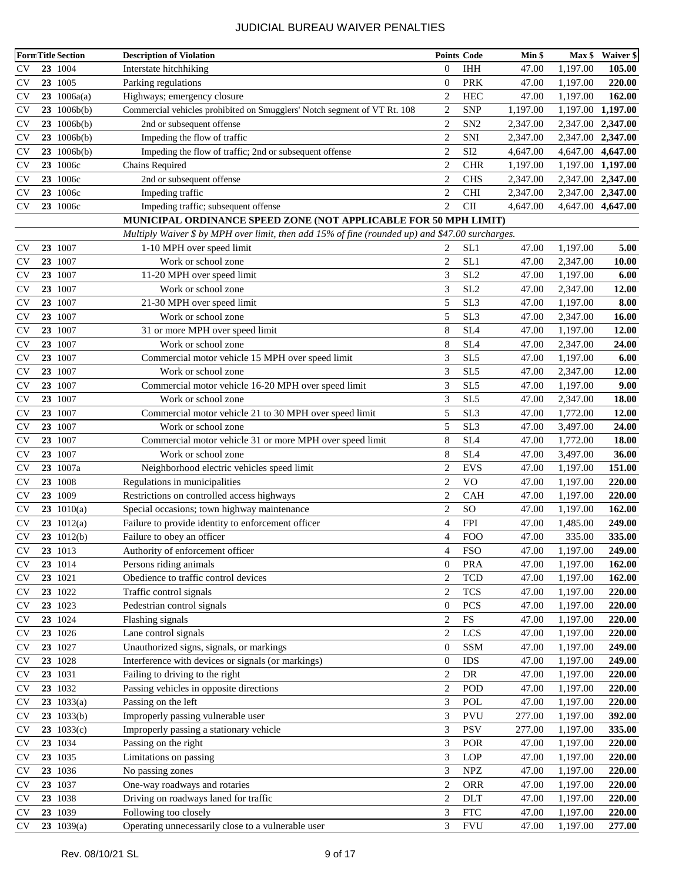|           | <b>FormTitle Section</b> | <b>Description of Violation</b>                                                                      |                  | <b>Points Code</b> | Min \$   |                   | Max \$ Waiver \$ |
|-----------|--------------------------|------------------------------------------------------------------------------------------------------|------------------|--------------------|----------|-------------------|------------------|
| <b>CV</b> | 23 1004                  | Interstate hitchhiking                                                                               | $\overline{0}$   | <b>IHH</b>         | 47.00    | 1,197.00          | 105.00           |
| <b>CV</b> | 23 1005                  | Parking regulations                                                                                  | $\overline{0}$   | <b>PRK</b>         | 47.00    | 1,197.00          | 220.00           |
| <b>CV</b> | 23 $1006a(a)$            | Highways; emergency closure                                                                          | $\overline{2}$   | <b>HEC</b>         | 47.00    | 1,197.00          | 162.00           |
| <b>CV</b> | $23 \t1006b(b)$          | Commercial vehicles prohibited on Smugglers' Notch segment of VT Rt. 108                             | $\overline{2}$   | <b>SNP</b>         | 1,197.00 | 1,197.00 1,197.00 |                  |
| <b>CV</b> | $23 \t1006b(b)$          | 2nd or subsequent offense                                                                            | $\overline{2}$   | SN <sub>2</sub>    | 2,347.00 | 2,347.00 2,347.00 |                  |
| <b>CV</b> | $23 \t1006b(b)$          | Impeding the flow of traffic                                                                         | $\overline{2}$   | SNI                | 2,347.00 | 2,347.00 2,347.00 |                  |
| <b>CV</b> | 23 1006b(b)              | Impeding the flow of traffic; 2nd or subsequent offense                                              | $\overline{2}$   | SI <sub>2</sub>    | 4,647.00 | 4,647.00 4,647.00 |                  |
| <b>CV</b> | 23 1006с                 | Chains Required                                                                                      | $\overline{2}$   | <b>CHR</b>         | 1,197.00 | 1,197.00 1,197.00 |                  |
| <b>CV</b> | 23 1006с                 | 2nd or subsequent offense                                                                            | $\overline{c}$   | <b>CHS</b>         | 2,347.00 | 2,347.00 2,347.00 |                  |
| <b>CV</b> | 23 1006с                 | Impeding traffic                                                                                     | $\overline{c}$   | <b>CHI</b>         | 2,347.00 | 2,347.00          | 2,347.00         |
| <b>CV</b> | 23 1006c                 | Impeding traffic; subsequent offense                                                                 | $\overline{2}$   | <b>CII</b>         | 4,647.00 | 4,647.00          | 4,647.00         |
|           |                          | MUNICIPAL ORDINANCE SPEED ZONE (NOT APPLICABLE FOR 50 MPH LIMIT)                                     |                  |                    |          |                   |                  |
|           |                          | Multiply Waiver $$ by MPH$ over limit, then add $15\%$ of fine (rounded up) and $$47.00$ surcharges. |                  |                    |          |                   |                  |
| <b>CV</b> | 23 1007                  | 1-10 MPH over speed limit                                                                            | 2                | SL1                | 47.00    | 1,197.00          | 5.00             |
| <b>CV</b> | 23 1007                  | Work or school zone                                                                                  | $\overline{c}$   | SL1                | 47.00    | 2,347.00          | 10.00            |
| <b>CV</b> | 23 1007                  | 11-20 MPH over speed limit                                                                           | 3                | SL <sub>2</sub>    | 47.00    | 1,197.00          | 6.00             |
| <b>CV</b> | 23 1007                  | Work or school zone                                                                                  | 3                | SL <sub>2</sub>    | 47.00    | 2,347.00          | 12.00            |
| <b>CV</b> | 23 1007                  | 21-30 MPH over speed limit                                                                           | 5                | SL <sub>3</sub>    | 47.00    | 1,197.00          | 8.00             |
| <b>CV</b> | 23 1007                  | Work or school zone                                                                                  | 5                | SL <sub>3</sub>    | 47.00    | 2,347.00          | 16.00            |
| <b>CV</b> | 23 1007                  | 31 or more MPH over speed limit                                                                      | 8                | SL <sub>4</sub>    | 47.00    | 1,197.00          | 12.00            |
| <b>CV</b> | 23 1007                  | Work or school zone                                                                                  | 8                | SL <sub>4</sub>    | 47.00    | 2,347.00          | 24.00            |
| <b>CV</b> | 23 1007                  | Commercial motor vehicle 15 MPH over speed limit                                                     | 3                | SL <sub>5</sub>    | 47.00    | 1,197.00          | 6.00             |
| <b>CV</b> | 23 1007                  | Work or school zone                                                                                  | 3                | SL <sub>5</sub>    | 47.00    | 2,347.00          | 12.00            |
| <b>CV</b> | 23 1007                  | Commercial motor vehicle 16-20 MPH over speed limit                                                  | 3                | SL <sub>5</sub>    | 47.00    | 1,197.00          | 9.00             |
| <b>CV</b> | 23 1007                  | Work or school zone                                                                                  | 3                | SL <sub>5</sub>    | 47.00    | 2,347.00          | 18.00            |
| <b>CV</b> | 23 1007                  | Commercial motor vehicle 21 to 30 MPH over speed limit                                               | 5                | SL <sub>3</sub>    | 47.00    | 1,772.00          | 12.00            |
| <b>CV</b> | 23 1007                  | Work or school zone                                                                                  | 5                | SL <sub>3</sub>    | 47.00    | 3,497.00          | 24.00            |
| <b>CV</b> | 23 1007                  | Commercial motor vehicle 31 or more MPH over speed limit                                             | 8                | SL <sub>4</sub>    | 47.00    | 1,772.00          | 18.00            |
| <b>CV</b> | 23 1007                  | Work or school zone                                                                                  | 8                | SL <sub>4</sub>    | 47.00    | 3,497.00          | 36.00            |
| <b>CV</b> | 23 1007a                 | Neighborhood electric vehicles speed limit                                                           | $\overline{c}$   | <b>EVS</b>         | 47.00    | 1,197.00          | 151.00           |
| <b>CV</b> | 23 1008                  | Regulations in municipalities                                                                        | $\overline{2}$   | <b>VO</b>          | 47.00    | 1,197.00          | 220.00           |
| <b>CV</b> | 23 1009                  | Restrictions on controlled access highways                                                           | $\overline{2}$   | <b>CAH</b>         | 47.00    | 1,197.00          | 220.00           |
| <b>CV</b> | 23 $1010(a)$             | Special occasions; town highway maintenance                                                          | $\overline{c}$   | SO                 | 47.00    | 1,197.00          | 162.00           |
| <b>CV</b> | $23 \t1012(a)$           | Failure to provide identity to enforcement officer                                                   | 4                | <b>FPI</b>         | 47.00    | 1,485.00          | 249.00           |
| <b>CV</b> | $23 \t1012(b)$           | Failure to obey an officer                                                                           | 4                | <b>FOO</b>         | 47.00    | 335.00            | 335.00           |
| <b>CV</b> | 23 1013                  | Authority of enforcement officer                                                                     | 4                | <b>FSO</b>         | 47.00    | 1,197.00          | 249.00           |
| <b>CV</b> | 23 1014                  | Persons riding animals                                                                               | $\overline{0}$   | <b>PRA</b>         | 47.00    | 1,197.00          | 162.00           |
| <b>CV</b> | 23 1021                  | Obedience to traffic control devices                                                                 | 2                | <b>TCD</b>         | 47.00    | 1,197.00          | 162.00           |
| <b>CV</b> | 23 1022                  | Traffic control signals                                                                              | $\overline{c}$   | <b>TCS</b>         | 47.00    | 1,197.00          | 220.00           |
| <b>CV</b> | 23 1023                  | Pedestrian control signals                                                                           | $\mathbf{0}$     | PCS                | 47.00    | 1,197.00          | 220.00           |
| <b>CV</b> | 23 1024                  | Flashing signals                                                                                     | $\overline{2}$   | FS                 | 47.00    | 1,197.00          | 220.00           |
| <b>CV</b> | 23 1026                  | Lane control signals                                                                                 | $\overline{2}$   | LCS                | 47.00    | 1,197.00          | 220.00           |
| <b>CV</b> | 23 1027                  | Unauthorized signs, signals, or markings                                                             | $\boldsymbol{0}$ | <b>SSM</b>         | 47.00    | 1,197.00          | 249.00           |
| <b>CV</b> | 23 1028                  | Interference with devices or signals (or markings)                                                   | $\mathbf{0}$     | <b>IDS</b>         | 47.00    | 1,197.00          | 249.00           |
| <b>CV</b> | 23 1031                  | Failing to driving to the right                                                                      | $\overline{2}$   | DR                 | 47.00    | 1,197.00          | 220.00           |
| <b>CV</b> | 23 1032                  | Passing vehicles in opposite directions                                                              | $\overline{c}$   | POD                | 47.00    | 1,197.00          | 220.00           |
| <b>CV</b> | $23 \t1033(a)$           | Passing on the left                                                                                  | 3                | POL                | 47.00    | 1,197.00          | 220.00           |
| <b>CV</b> | 23 1033(b)               | Improperly passing vulnerable user                                                                   | 3                | <b>PVU</b>         | 277.00   | 1,197.00          | 392.00           |
| <b>CV</b> | $23 \t1033(c)$           | Improperly passing a stationary vehicle                                                              | 3                | <b>PSV</b>         | 277.00   | 1,197.00          | 335.00           |
| <b>CV</b> | 23 1034                  | Passing on the right                                                                                 | 3                | POR                | 47.00    | 1,197.00          | 220.00           |
| <b>CV</b> | 23 1035                  | Limitations on passing                                                                               | 3                | <b>LOP</b>         | 47.00    | 1,197.00          | 220.00           |
| <b>CV</b> | 23 1036                  | No passing zones                                                                                     | 3                | <b>NPZ</b>         | 47.00    | 1,197.00          | 220.00           |
| <b>CV</b> | 23 1037                  | One-way roadways and rotaries                                                                        | $\overline{2}$   | <b>ORR</b>         | 47.00    | 1,197.00          | 220.00           |
| <b>CV</b> | 23 1038                  | Driving on roadways laned for traffic                                                                | $\overline{2}$   | <b>DLT</b>         | 47.00    | 1,197.00          | 220.00           |
| <b>CV</b> | 23 1039                  | Following too closely                                                                                | 3                | <b>FTC</b>         | 47.00    | 1,197.00          | 220.00           |
| <b>CV</b> | $23 \t1039(a)$           | Operating unnecessarily close to a vulnerable user                                                   | 3                | <b>FVU</b>         | 47.00    | 1,197.00          | 277.00           |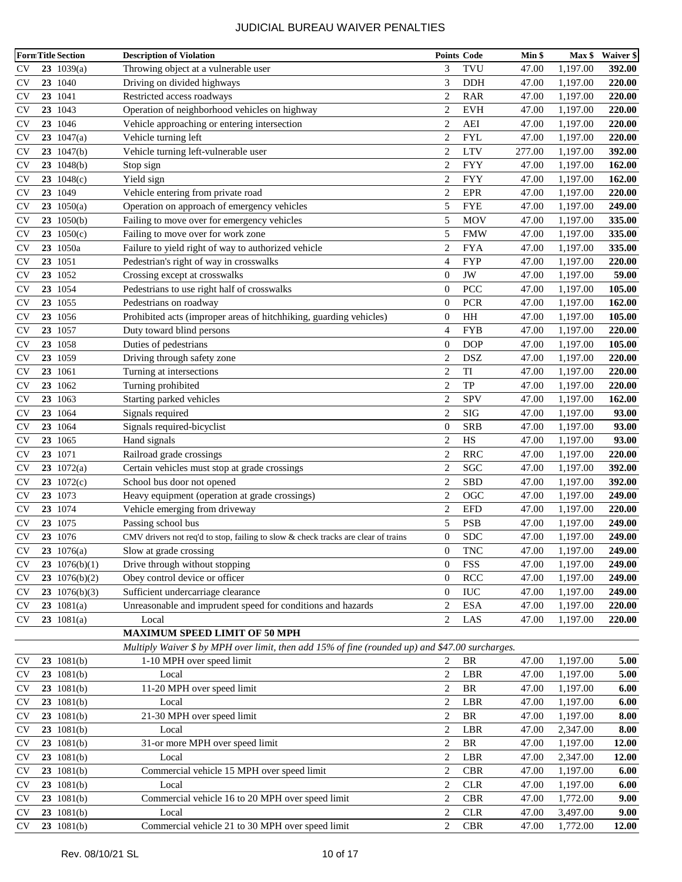|               |         | <b>FormTitle Section</b> | <b>Description of Violation</b>                                                                   |                  | <b>Points Code</b> | Min \$ | $Max$ \$ | Waiver \$           |
|---------------|---------|--------------------------|---------------------------------------------------------------------------------------------------|------------------|--------------------|--------|----------|---------------------|
| <b>CV</b>     |         | $23 \t1039(a)$           | Throwing object at a vulnerable user                                                              | 3                | TVU                | 47.00  | 1,197.00 | 392.00              |
| CV            | 23 1040 |                          | Driving on divided highways                                                                       | 3                | <b>DDH</b>         | 47.00  | 1,197.00 | 220.00              |
| <b>CV</b>     | 23 1041 |                          | Restricted access roadways                                                                        | $\overline{2}$   | <b>RAR</b>         | 47.00  | 1,197.00 | 220.00              |
| <b>CV</b>     | 23 1043 |                          | Operation of neighborhood vehicles on highway                                                     | $\overline{c}$   | <b>EVH</b>         | 47.00  | 1,197.00 | 220.00              |
| <b>CV</b>     | 23 1046 |                          | Vehicle approaching or entering intersection                                                      | 2                | AEI                | 47.00  | 1,197.00 | 220.00              |
| <b>CV</b>     |         | 23 $1047(a)$             | Vehicle turning left                                                                              | $\overline{2}$   | <b>FYL</b>         | 47.00  | 1,197.00 | 220.00              |
| <b>CV</b>     |         | $23 \t1047(b)$           | Vehicle turning left-vulnerable user                                                              | $\overline{c}$   | <b>LTV</b>         | 277.00 | 1,197.00 | 392.00              |
| <b>CV</b>     |         | $23 \t1048(b)$           | Stop sign                                                                                         | 2                | <b>FYY</b>         | 47.00  | 1,197.00 | 162.00              |
| <b>CV</b>     |         | 23 $1048(c)$             | Yield sign                                                                                        | $\overline{2}$   | <b>FYY</b>         | 47.00  | 1,197.00 | 162.00              |
| <b>CV</b>     | 23 1049 |                          | Vehicle entering from private road                                                                | $\overline{2}$   | <b>EPR</b>         | 47.00  | 1,197.00 | 220.00              |
| <b>CV</b>     |         | 23 $1050(a)$             | Operation on approach of emergency vehicles                                                       | 5                | <b>FYE</b>         | 47.00  | 1,197.00 | 249.00              |
| <b>CV</b>     |         | 23 1050(b)               | Failing to move over for emergency vehicles                                                       | 5                | MOV                | 47.00  | 1,197.00 | 335.00              |
| <b>CV</b>     |         | 23 $1050(c)$             | Failing to move over for work zone                                                                | 5                | <b>FMW</b>         | 47.00  | 1,197.00 | 335.00              |
| <b>CV</b>     |         | 23 1050a                 | Failure to yield right of way to authorized vehicle                                               | $\overline{c}$   | <b>FYA</b>         | 47.00  | 1,197.00 | 335.00              |
| <b>CV</b>     | 23 1051 |                          | Pedestrian's right of way in crosswalks                                                           | $\overline{4}$   | <b>FYP</b>         | 47.00  | 1,197.00 | 220.00              |
| <b>CV</b>     | 23 1052 |                          | Crossing except at crosswalks                                                                     | $\overline{0}$   | JW                 | 47.00  | 1,197.00 | 59.00               |
| <b>CV</b>     | 23 1054 |                          | Pedestrians to use right half of crosswalks                                                       | $\overline{0}$   | PCC                | 47.00  | 1,197.00 | 105.00              |
| <b>CV</b>     | 23 1055 |                          | Pedestrians on roadway                                                                            | $\overline{0}$   | <b>PCR</b>         | 47.00  | 1,197.00 | 162.00              |
| <b>CV</b>     | 23 1056 |                          | Prohibited acts (improper areas of hitchhiking, guarding vehicles)                                | $\boldsymbol{0}$ | HH                 | 47.00  | 1,197.00 | 105.00              |
| <b>CV</b>     | 23 1057 |                          | Duty toward blind persons                                                                         | 4                | <b>FYB</b>         | 47.00  | 1,197.00 | 220.00              |
| <b>CV</b>     | 23 1058 |                          | Duties of pedestrians                                                                             | $\overline{0}$   | <b>DOP</b>         | 47.00  | 1,197.00 | 105.00              |
| <b>CV</b>     | 23 1059 |                          | Driving through safety zone                                                                       | $\overline{c}$   | <b>DSZ</b>         | 47.00  | 1,197.00 | 220.00              |
| <b>CV</b>     | 23 1061 |                          | Turning at intersections                                                                          | $\overline{c}$   | $\rm TI$           | 47.00  | 1,197.00 | 220.00              |
| <b>CV</b>     | 23 1062 |                          | Turning prohibited                                                                                | $\overline{2}$   | TP                 | 47.00  | 1,197.00 | 220.00              |
| <b>CV</b>     | 23 1063 |                          | Starting parked vehicles                                                                          | $\overline{2}$   | SPV                | 47.00  | 1,197.00 | 162.00              |
| <b>CV</b>     | 23 1064 |                          | Signals required                                                                                  | $\overline{c}$   | <b>SIG</b>         | 47.00  | 1,197.00 | 93.00               |
| <b>CV</b>     | 23 1064 |                          | Signals required-bicyclist                                                                        | $\mathbf{0}$     | <b>SRB</b>         | 47.00  | 1,197.00 | 93.00               |
| <b>CV</b>     | 23 1065 |                          | Hand signals                                                                                      | $\overline{2}$   | HS                 | 47.00  | 1,197.00 | 93.00               |
| <b>CV</b>     | 23 1071 |                          | Railroad grade crossings                                                                          | $\overline{c}$   | <b>RRC</b>         | 47.00  | 1,197.00 | 220.00              |
| <b>CV</b>     |         | 23 $1072(a)$             | Certain vehicles must stop at grade crossings                                                     | $\overline{c}$   | <b>SGC</b>         | 47.00  | 1,197.00 | 392.00              |
| <b>CV</b>     |         | 23 $1072(c)$             | School bus door not opened                                                                        | $\overline{2}$   | SBD                | 47.00  | 1,197.00 | 392.00              |
| <b>CV</b>     | 23 1073 |                          | Heavy equipment (operation at grade crossings)                                                    | $\overline{c}$   | OGC                | 47.00  | 1,197.00 | 249.00              |
| <b>CV</b>     | 23 1074 |                          | Vehicle emerging from driveway                                                                    | $\overline{2}$   | <b>EFD</b>         | 47.00  | 1,197.00 | 220.00              |
| <b>CV</b>     | 23 1075 |                          | Passing school bus                                                                                | 5                | PSB                | 47.00  | 1,197.00 | 249.00              |
| <b>CV</b>     | 23 1076 |                          | CMV drivers not req'd to stop, failing to slow & check tracks are clear of trains                 | $\overline{0}$   | <b>SDC</b>         | 47.00  | 1,197.00 | 249.00              |
| CV            |         | $23 \t1076(a)$           | Slow at grade crossing                                                                            | $\boldsymbol{0}$ | <b>TNC</b>         | 47.00  | 1,197.00 | 249.00              |
| <b>CV</b>     |         | 23 $1076(b)(1)$          | Drive through without stopping                                                                    | $\theta$         | <b>FSS</b>         | 47.00  | 1,197.00 | 249.00              |
| <b>CV</b>     |         | 23 $1076(b)(2)$          | Obey control device or officer                                                                    | $\boldsymbol{0}$ | <b>RCC</b>         | 47.00  | 1,197.00 | 249.00              |
| <b>CV</b>     |         | 23 $1076(b)(3)$          | Sufficient undercarriage clearance                                                                | $\boldsymbol{0}$ | <b>IUC</b>         | 47.00  | 1,197.00 | 249.00              |
| <b>CV</b>     |         | $23 \t1081(a)$           | Unreasonable and imprudent speed for conditions and hazards                                       | $\overline{2}$   | <b>ESA</b>         | 47.00  | 1,197.00 | 220.00              |
| <b>CV</b>     |         | 23 $1081(a)$             | Local                                                                                             | 2                | LAS                | 47.00  | 1,197.00 | 220.00              |
|               |         |                          | <b>MAXIMUM SPEED LIMIT OF 50 MPH</b>                                                              |                  |                    |        |          |                     |
|               |         |                          | Multiply Waiver $$ by MPH$ over limit, then add 15% of fine (rounded up) and $$47.00$ surcharges. |                  |                    |        |          |                     |
| <b>CV</b>     |         | 23 1081(b)               | 1-10 MPH over speed limit                                                                         | 2                | BR                 | 47.00  | 1,197.00 | 5.00                |
| CV            |         | 23 1081(b)               | Local                                                                                             | $\overline{c}$   | LBR                | 47.00  | 1,197.00 | 5.00                |
| CV            |         | $23 \t1081(b)$           | 11-20 MPH over speed limit                                                                        | 2                | $\rm{BR}$          | 47.00  | 1,197.00 | 6.00                |
| <b>CV</b>     |         | 23 1081(b)               | Local                                                                                             | $\overline{c}$   | LBR                | 47.00  | 1,197.00 | 6.00                |
| <b>CV</b>     |         | 23 1081(b)               | 21-30 MPH over speed limit                                                                        | $\overline{c}$   | BR                 | 47.00  | 1,197.00 | $\boldsymbol{8.00}$ |
| <b>CV</b>     |         | 23 1081(b)               | Local                                                                                             | $\overline{2}$   | LBR                | 47.00  | 2,347.00 | $\boldsymbol{8.00}$ |
| <b>CV</b>     |         | 23 1081(b)               | 31-or more MPH over speed limit                                                                   | $\overline{2}$   | BR                 | 47.00  | 1,197.00 | 12.00               |
| <b>CV</b>     |         | 23 1081(b)               | Local                                                                                             | $\overline{c}$   | LBR                | 47.00  | 2,347.00 | 12.00               |
| <b>CV</b>     |         | 23 1081(b)               | Commercial vehicle 15 MPH over speed limit                                                        | $\overline{2}$   | <b>CBR</b>         | 47.00  | 1,197.00 | 6.00                |
| <b>CV</b>     |         | 23 1081(b)               | Local                                                                                             | $\overline{2}$   | <b>CLR</b>         | 47.00  | 1,197.00 | 6.00                |
| CV            |         | 23 1081(b)               | Commercial vehicle 16 to 20 MPH over speed limit                                                  | 2                | <b>CBR</b>         | 47.00  | 1,772.00 | 9.00                |
| <b>CV</b>     |         | 23 1081(b)               | Local                                                                                             | $\overline{c}$   | CLR                | 47.00  | 3,497.00 | 9.00                |
| $\mathrm{CV}$ |         | 23 1081(b)               | Commercial vehicle 21 to 30 MPH over speed limit                                                  | $\overline{c}$   | $\rm{CBR}$         | 47.00  | 1,772.00 | 12.00               |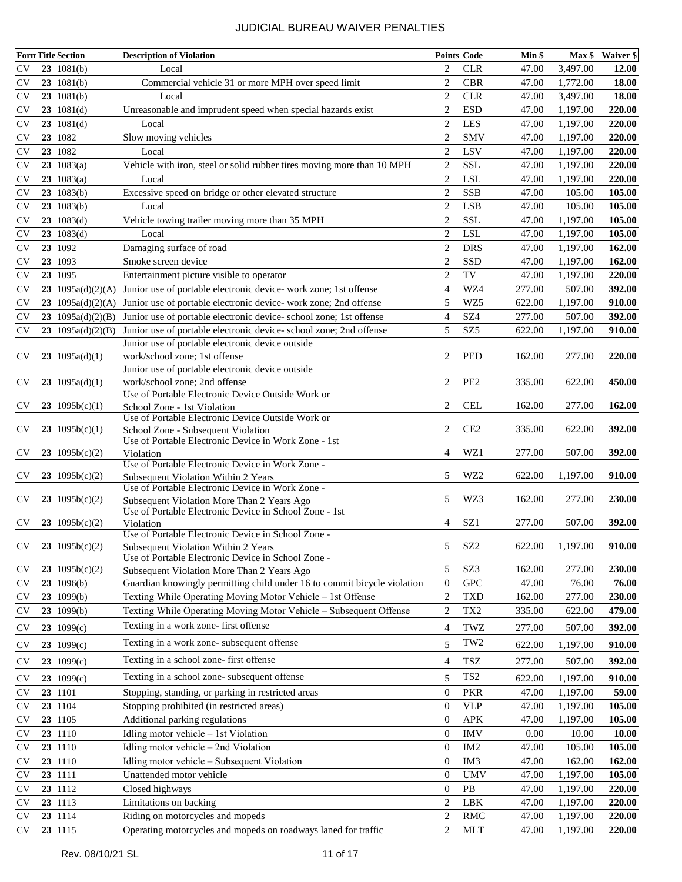|                         | <b>FormTitle Section</b> | <b>Description of Violation</b>                                                    |                                      | <b>Points Code</b>                 | Min \$         |                    | Max \$ Waiver \$ |
|-------------------------|--------------------------|------------------------------------------------------------------------------------|--------------------------------------|------------------------------------|----------------|--------------------|------------------|
| <b>CV</b>               | $23 \t1081(b)$           | Local                                                                              | $\overline{c}$                       | <b>CLR</b>                         | 47.00          | 3,497.00           | 12.00            |
| <b>CV</b>               | $23 \t1081(b)$           | Commercial vehicle 31 or more MPH over speed limit                                 | $\overline{2}$                       | <b>CBR</b>                         | 47.00          | 1,772.00           | 18.00            |
| <b>CV</b>               | $23 \t1081(b)$           | Local                                                                              | $\overline{2}$                       | <b>CLR</b>                         | 47.00          | 3,497.00           | 18.00            |
| <b>CV</b>               | $23 \t1081(d)$           | Unreasonable and imprudent speed when special hazards exist                        | $\overline{2}$                       | <b>ESD</b>                         | 47.00          | 1,197.00           | 220.00           |
| <b>CV</b>               | $23 \t1081(d)$           | Local                                                                              | $\overline{2}$                       | LES                                | 47.00          | 1,197.00           | 220.00           |
| <b>CV</b>               | 23 1082                  | Slow moving vehicles                                                               | $\overline{2}$                       | <b>SMV</b>                         | 47.00          | 1,197.00           | 220.00           |
| <b>CV</b>               | 23 1082                  | Local                                                                              | $\overline{2}$                       | LSV                                | 47.00          | 1,197.00           | 220.00           |
| <b>CV</b>               | 23 $1083(a)$             | Vehicle with iron, steel or solid rubber tires moving more than 10 MPH             | $\overline{2}$                       | <b>SSL</b>                         | 47.00          | 1,197.00           | 220.00           |
| <b>CV</b>               | 23 $1083(a)$             | Local                                                                              | $\overline{2}$                       | <b>LSL</b>                         | 47.00          | 1,197.00           | 220.00           |
| <b>CV</b>               | $23 \t1083(b)$           | Excessive speed on bridge or other elevated structure                              | $\overline{2}$                       | <b>SSB</b>                         | 47.00          | 105.00             | 105.00           |
| <b>CV</b>               | $23 \t1083(b)$           | Local                                                                              | 2                                    | <b>LSB</b>                         | 47.00          | 105.00             | 105.00           |
| <b>CV</b>               | $23 \t1083(d)$           | Vehicle towing trailer moving more than 35 MPH                                     | $\overline{2}$                       | <b>SSL</b>                         | 47.00          | 1,197.00           | 105.00           |
| <b>CV</b>               | $23 \t1083(d)$           | Local                                                                              | $\overline{2}$                       | <b>LSL</b>                         | 47.00          | 1,197.00           | 105.00           |
| <b>CV</b>               | 23 1092                  | Damaging surface of road                                                           | $\overline{2}$                       | <b>DRS</b>                         | 47.00          | 1,197.00           | 162.00           |
| <b>CV</b>               | 23 1093                  | Smoke screen device                                                                | $\overline{2}$                       | SSD                                | 47.00          | 1,197.00           | 162.00           |
| <b>CV</b>               | 23 1095                  | Entertainment picture visible to operator                                          | $\overline{2}$                       | TV                                 | 47.00          | 1,197.00           | 220.00           |
| <b>CV</b>               | 23 1095a(d)(2)(A)        | Junior use of portable electronic device- work zone; 1st offense                   | 4                                    | WZ4                                | 277.00         | 507.00             | 392.00           |
| <b>CV</b>               | 23 1095a(d)(2)(A)        | Junior use of portable electronic device- work zone; 2nd offense                   | 5                                    | WZ5                                | 622.00         | 1,197.00           | 910.00           |
| <b>CV</b>               | 23 $1095a(d)(2)(B)$      | Junior use of portable electronic device-school zone; 1st offense                  | $\overline{4}$                       | SZ <sub>4</sub>                    | 277.00         | 507.00             | 392.00           |
| <b>CV</b>               | 23 $1095a(d)(2)(B)$      | Junior use of portable electronic device-school zone; 2nd offense                  | 5                                    | SZ <sub>5</sub>                    | 622.00         | 1,197.00           | 910.00           |
|                         |                          | Junior use of portable electronic device outside                                   |                                      |                                    |                |                    |                  |
| <b>CV</b>               | 23 $1095a(d)(1)$         | work/school zone; 1st offense                                                      | $\overline{2}$                       | <b>PED</b>                         | 162.00         | 277.00             | <b>220.00</b>    |
|                         |                          | Junior use of portable electronic device outside                                   |                                      |                                    |                |                    |                  |
| <b>CV</b>               | 23 1095 $a(d)(1)$        | work/school zone; 2nd offense<br>Use of Portable Electronic Device Outside Work or | 2                                    | PE <sub>2</sub>                    | 335.00         | 622.00             | 450.00           |
| <b>CV</b>               | 23 $1095b(c)(1)$         | School Zone - 1st Violation                                                        | 2                                    | <b>CEL</b>                         | 162.00         | 277.00             | 162.00           |
|                         |                          | Use of Portable Electronic Device Outside Work or                                  |                                      |                                    |                |                    |                  |
| <b>CV</b>               | 23 $1095b(c)(1)$         | School Zone - Subsequent Violation                                                 | 2                                    | CE <sub>2</sub>                    | 335.00         | 622.00             | 392.00           |
|                         |                          | Use of Portable Electronic Device in Work Zone - 1st                               |                                      |                                    |                |                    |                  |
| <b>CV</b>               | 23 $1095b(c)(2)$         | Violation<br>Use of Portable Electronic Device in Work Zone -                      | 4                                    | WZ1                                | 277.00         | 507.00             | 392.00           |
| <b>CV</b>               | 23 $1095b(c)(2)$         | Subsequent Violation Within 2 Years                                                | 5                                    | WZ2                                | 622.00         | 1,197.00           | 910.00           |
|                         |                          | Use of Portable Electronic Device in Work Zone -                                   |                                      |                                    |                |                    |                  |
| <b>CV</b>               | 23 $1095b(c)(2)$         | Subsequent Violation More Than 2 Years Ago                                         | 5                                    | WZ3                                | 162.00         | 277.00             | <b>230.00</b>    |
|                         | 23 1095b(c)(2)           | Use of Portable Electronic Device in School Zone - 1st                             |                                      | SZ1                                | 277.00         |                    |                  |
| <b>CV</b>               |                          | Violation<br>Use of Portable Electronic Device in School Zone -                    | 4                                    |                                    |                | 507.00             | 392.00           |
| CV                      | 23 $1095b(c)(2)$         | Subsequent Violation Within 2 Years                                                | 5                                    | SZ2                                | 622.00         | 1,197.00           | 910.00           |
|                         |                          | Use of Portable Electronic Device in School Zone -                                 |                                      |                                    |                |                    |                  |
| $\mathbf{C} \mathbf{V}$ | 23 $1095b(c)(2)$         | Subsequent Violation More Than 2 Years Ago                                         | 5                                    | SZ3                                | 162.00         | 277.00             | 230.00           |
| <b>CV</b>               | 23 1096(b)               | Guardian knowingly permitting child under 16 to commit bicycle violation           | $\boldsymbol{0}$                     | <b>GPC</b>                         | 47.00          | 76.00              | 76.00            |
| <b>CV</b>               | 23 1099(b)               | Texting While Operating Moving Motor Vehicle - 1st Offense                         | 2                                    | <b>TXD</b>                         | 162.00         | 277.00             | 230.00           |
| <b>CV</b>               | 23 1099(b)               | Texting While Operating Moving Motor Vehicle - Subsequent Offense                  | 2                                    | TX <sub>2</sub>                    | 335.00         | 622.00             | 479.00           |
| <b>CV</b>               | 23 $1099(c)$             | Texting in a work zone- first offense                                              | 4                                    | TWZ                                | 277.00         | 507.00             | 392.00           |
| <b>CV</b>               | 23 $1099(c)$             | Texting in a work zone- subsequent offense                                         | 5                                    | TW <sub>2</sub>                    | 622.00         | 1,197.00           | 910.00           |
| <b>CV</b>               | 23 $1099(c)$             | Texting in a school zone- first offense                                            | 4                                    | TSZ                                | 277.00         | 507.00             | 392.00           |
|                         |                          | Texting in a school zone- subsequent offense                                       |                                      | TS <sub>2</sub>                    |                |                    |                  |
| <b>CV</b>               | 23 $1099(c)$             |                                                                                    | 5                                    |                                    | 622.00         | 1,197.00           | 910.00           |
| <b>CV</b>               | 23 1101                  | Stopping, standing, or parking in restricted areas                                 | $\mathbf{0}$                         | <b>PKR</b>                         | 47.00          | 1,197.00           | 59.00            |
| <b>CV</b>               | 23 1104                  | Stopping prohibited (in restricted areas)                                          | $\mathbf{0}$                         | <b>VLP</b>                         | 47.00          | 1,197.00           | 105.00           |
| <b>CV</b>               | 23 1105                  | Additional parking regulations                                                     | $\boldsymbol{0}$                     | <b>APK</b>                         | 47.00          | 1,197.00           | 105.00           |
| <b>CV</b>               | 23 1110                  | Idling motor vehicle - 1st Violation                                               | $\boldsymbol{0}$                     | <b>IMV</b>                         | 0.00           | 10.00              | 10.00            |
| <b>CV</b><br><b>CV</b>  | 23 1110                  | Idling motor vehicle - 2nd Violation                                               | $\boldsymbol{0}$<br>$\boldsymbol{0}$ | IM <sub>2</sub><br>IM <sub>3</sub> | 47.00<br>47.00 | 105.00             | 105.00<br>162.00 |
| <b>CV</b>               | 23 1110<br>23 1111       | Idling motor vehicle - Subsequent Violation<br>Unattended motor vehicle            | $\mathbf{0}$                         | <b>UMV</b>                         | 47.00          | 162.00<br>1,197.00 | 105.00           |
| <b>CV</b>               | 23 1112                  | Closed highways                                                                    | $\boldsymbol{0}$                     | $\mathbf{PB}$                      | 47.00          | 1,197.00           | 220.00           |
| <b>CV</b>               | 23 1113                  | Limitations on backing                                                             | 2                                    | LBK                                | 47.00          | 1,197.00           | 220.00           |
| <b>CV</b>               | 23 1114                  | Riding on motorcycles and mopeds                                                   | $\overline{c}$                       | $\rm RMC$                          | 47.00          | 1,197.00           | 220.00           |
| <b>CV</b>               | 23 1115                  | Operating motorcycles and mopeds on roadways laned for traffic                     | 2                                    | <b>MLT</b>                         | 47.00          | 1,197.00           | 220.00           |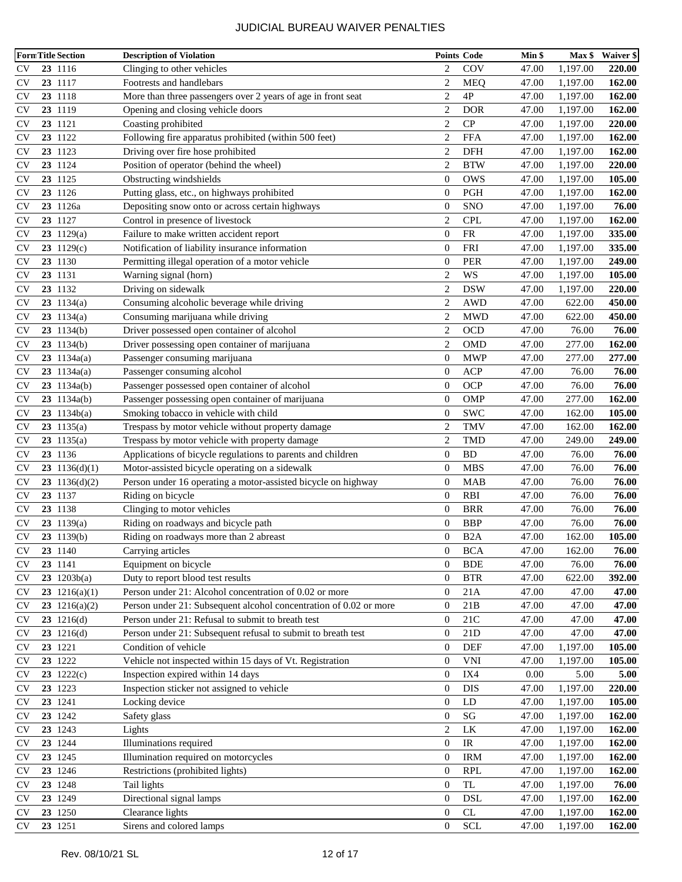|           | <b>FormTitle Section</b> | <b>Description of Violation</b>                                   |                  | <b>Points Code</b>                | Min \$ | Max \$   | <b>Waiver \$</b> |
|-----------|--------------------------|-------------------------------------------------------------------|------------------|-----------------------------------|--------|----------|------------------|
| <b>CV</b> | 23 1116                  | Clinging to other vehicles                                        | 2                | COV                               | 47.00  | 1,197.00 | 220.00           |
| <b>CV</b> | 23 1117                  | Footrests and handlebars                                          | $\overline{2}$   | <b>MEQ</b>                        | 47.00  | 1,197.00 | 162.00           |
| <b>CV</b> | 23 1118                  | More than three passengers over 2 years of age in front seat      | $\overline{c}$   | 4P                                | 47.00  | 1,197.00 | 162.00           |
| <b>CV</b> | 23 1119                  | Opening and closing vehicle doors                                 | $\overline{2}$   | <b>DOR</b>                        | 47.00  | 1,197.00 | 162.00           |
| <b>CV</b> | 23 1121                  | Coasting prohibited                                               | $\overline{2}$   | CP                                | 47.00  | 1,197.00 | 220.00           |
| <b>CV</b> | 23 1122                  | Following fire apparatus prohibited (within 500 feet)             | $\overline{c}$   | <b>FFA</b>                        | 47.00  | 1,197.00 | 162.00           |
| <b>CV</b> | 23 1123                  | Driving over fire hose prohibited                                 | 2                | DFH                               | 47.00  | 1,197.00 | 162.00           |
| <b>CV</b> | 23 1124                  | Position of operator (behind the wheel)                           | $\overline{2}$   | <b>BTW</b>                        | 47.00  | 1,197.00 | 220.00           |
| <b>CV</b> | 23 1125                  | Obstructing windshields                                           | $\boldsymbol{0}$ | <b>OWS</b>                        | 47.00  | 1,197.00 | 105.00           |
| <b>CV</b> | 23 1126                  | Putting glass, etc., on highways prohibited                       | $\boldsymbol{0}$ | PGH                               | 47.00  | 1,197.00 | 162.00           |
| <b>CV</b> | 23 1126a                 | Depositing snow onto or across certain highways                   | $\boldsymbol{0}$ | <b>SNO</b>                        | 47.00  | 1,197.00 | 76.00            |
| <b>CV</b> | 23 1127                  | Control in presence of livestock                                  | $\overline{2}$   | <b>CPL</b>                        | 47.00  | 1,197.00 | 162.00           |
| <b>CV</b> | $23 \t1129(a)$           | Failure to make written accident report                           | $\boldsymbol{0}$ | <b>FR</b>                         | 47.00  | 1,197.00 | 335.00           |
| <b>CV</b> | $23 \t1129(c)$           | Notification of liability insurance information                   | $\boldsymbol{0}$ | <b>FRI</b>                        | 47.00  | 1,197.00 | 335.00           |
| <b>CV</b> | 23 1130                  | Permitting illegal operation of a motor vehicle                   | $\boldsymbol{0}$ | <b>PER</b>                        | 47.00  | 1,197.00 | 249.00           |
| <b>CV</b> | 23 1131                  | Warning signal (horn)                                             | $\overline{2}$   | WS                                | 47.00  | 1,197.00 | 105.00           |
| <b>CV</b> | 23 1132                  | Driving on sidewalk                                               | $\overline{c}$   | <b>DSW</b>                        | 47.00  | 1,197.00 | 220.00           |
| <b>CV</b> | 23 $1134(a)$             | Consuming alcoholic beverage while driving                        | $\overline{2}$   | <b>AWD</b>                        | 47.00  | 622.00   | 450.00           |
| <b>CV</b> | 23 $1134(a)$             | Consuming marijuana while driving                                 | $\overline{2}$   | <b>MWD</b>                        | 47.00  | 622.00   | 450.00           |
| <b>CV</b> | $23$ 1134(b)             | Driver possessed open container of alcohol                        | $\overline{c}$   | <b>OCD</b>                        | 47.00  | 76.00    | 76.00            |
| <b>CV</b> | $23 \t1134(b)$           | Driver possessing open container of marijuana                     | $\overline{2}$   | <b>OMD</b>                        | 47.00  | 277.00   | 162.00           |
| <b>CV</b> | 23 $1134a(a)$            | Passenger consuming marijuana                                     | $\boldsymbol{0}$ | <b>MWP</b>                        | 47.00  | 277.00   | 277.00           |
| <b>CV</b> | $23 \t1134a(a)$          | Passenger consuming alcohol                                       | $\boldsymbol{0}$ | <b>ACP</b>                        | 47.00  | 76.00    | 76.00            |
| <b>CV</b> | $23$ 1134a(b)            | Passenger possessed open container of alcohol                     | $\boldsymbol{0}$ | OCP                               | 47.00  | 76.00    | 76.00            |
| <b>CV</b> | $23$ 1134a(b)            | Passenger possessing open container of marijuana                  | $\boldsymbol{0}$ | <b>OMP</b>                        | 47.00  | 277.00   | 162.00           |
| <b>CV</b> | $23 \t1134b(a)$          | Smoking tobacco in vehicle with child                             | $\boldsymbol{0}$ | <b>SWC</b>                        | 47.00  | 162.00   | 105.00           |
| <b>CV</b> | 23 $1135(a)$             | Trespass by motor vehicle without property damage                 | $\overline{c}$   | <b>TMV</b>                        | 47.00  | 162.00   | 162.00           |
| <b>CV</b> | 23 $1135(a)$             | Trespass by motor vehicle with property damage                    | $\overline{c}$   | <b>TMD</b>                        | 47.00  | 249.00   | 249.00           |
| <b>CV</b> | 23 1136                  | Applications of bicycle regulations to parents and children       | $\boldsymbol{0}$ | <b>BD</b>                         | 47.00  | 76.00    | 76.00            |
| <b>CV</b> | 23 $1136(d)(1)$          | Motor-assisted bicycle operating on a sidewalk                    | $\boldsymbol{0}$ | <b>MBS</b>                        | 47.00  | 76.00    | 76.00            |
| <b>CV</b> | 23 $1136(d)(2)$          | Person under 16 operating a motor-assisted bicycle on highway     | $\boldsymbol{0}$ | <b>MAB</b>                        | 47.00  | 76.00    | 76.00            |
| <b>CV</b> | 23 1137                  | Riding on bicycle                                                 | $\mathbf{0}$     | <b>RBI</b>                        | 47.00  | 76.00    | 76.00            |
| <b>CV</b> | 23 1138                  | Clinging to motor vehicles                                        | $\boldsymbol{0}$ | <b>BRR</b>                        | 47.00  | 76.00    | 76.00            |
| <b>CV</b> | $23$ 1139(a)             | Riding on roadways and bicycle path                               | $\boldsymbol{0}$ | <b>BBP</b>                        | 47.00  | 76.00    | 76.00            |
| <b>CV</b> | $23 \t1139(b)$           | Riding on roadways more than 2 abreast                            | $\overline{0}$   | B <sub>2</sub> A                  | 47.00  | 162.00   | 105.00           |
| <b>CV</b> | 23 1140                  | Carrying articles                                                 | $\boldsymbol{0}$ | <b>BCA</b>                        | 47.00  | 162.00   | 76.00            |
| <b>CV</b> | 23 1141                  | Equipment on bicycle                                              | $\boldsymbol{0}$ | <b>BDE</b>                        | 47.00  | 76.00    | 76.00            |
| <b>CV</b> | $23 \t1203b(a)$          | Duty to report blood test results                                 | $\boldsymbol{0}$ | <b>BTR</b>                        | 47.00  | 622.00   | 392.00           |
| <b>CV</b> | 23 $1216(a)(1)$          | Person under 21: Alcohol concentration of 0.02 or more            | $\boldsymbol{0}$ | 21A                               | 47.00  | 47.00    | 47.00            |
| <b>CV</b> | 23 $1216(a)(2)$          | Person under 21: Subsequent alcohol concentration of 0.02 or more | $\boldsymbol{0}$ | 21B                               | 47.00  | 47.00    | 47.00            |
| <b>CV</b> | $23 \quad 1216(d)$       | Person under 21: Refusal to submit to breath test                 | $\boldsymbol{0}$ | 21C                               | 47.00  | 47.00    | 47.00            |
| <b>CV</b> | 23 1216(d)               | Person under 21: Subsequent refusal to submit to breath test      | $\boldsymbol{0}$ | 21D                               | 47.00  | 47.00    | 47.00            |
| <b>CV</b> | 23 1221                  | Condition of vehicle                                              | $\boldsymbol{0}$ | <b>DEF</b>                        | 47.00  | 1,197.00 | 105.00           |
| <b>CV</b> | 23 1222                  | Vehicle not inspected within 15 days of Vt. Registration          | $\boldsymbol{0}$ | <b>VNI</b>                        | 47.00  | 1,197.00 | 105.00           |
| <b>CV</b> | $23 \t1222(c)$           | Inspection expired within 14 days                                 | $\boldsymbol{0}$ | IX4                               | 0.00   | 5.00     | 5.00             |
| <b>CV</b> | 23 1223                  | Inspection sticker not assigned to vehicle                        | $\boldsymbol{0}$ | <b>DIS</b>                        | 47.00  | 1,197.00 | 220.00           |
| <b>CV</b> | 23 1241                  | Locking device                                                    | $\boldsymbol{0}$ | LD                                | 47.00  | 1,197.00 | 105.00           |
| <b>CV</b> | 23 1242                  | Safety glass                                                      | $\boldsymbol{0}$ | SG                                | 47.00  | 1,197.00 | 162.00           |
| <b>CV</b> | 23 1243                  | Lights                                                            | $\mathbf{2}$     | ${\rm LK}$                        | 47.00  | 1,197.00 | 162.00           |
| <b>CV</b> | 23 1244                  | Illuminations required                                            | $\boldsymbol{0}$ | $\ensuremath{\mathsf{IR}}\xspace$ | 47.00  | 1,197.00 | 162.00           |
| <b>CV</b> | 23 1245                  | Illumination required on motorcycles                              | $\boldsymbol{0}$ | <b>IRM</b>                        | 47.00  | 1,197.00 | 162.00           |
| <b>CV</b> | 23 1246                  | Restrictions (prohibited lights)                                  | $\boldsymbol{0}$ | <b>RPL</b>                        | 47.00  | 1,197.00 | 162.00           |
| <b>CV</b> | 23 1248                  | Tail lights                                                       | $\boldsymbol{0}$ | TL                                | 47.00  | 1,197.00 | 76.00            |
| <b>CV</b> | 23 1249                  | Directional signal lamps                                          | $\boldsymbol{0}$ | DSL                               | 47.00  | 1,197.00 | 162.00           |
| <b>CV</b> | 23 1250                  | Clearance lights                                                  | $\boldsymbol{0}$ | ${\rm CL}$                        | 47.00  | 1,197.00 | 162.00           |
| <b>CV</b> | 23 1251                  | Sirens and colored lamps                                          | $\mathbf{0}$     | <b>SCL</b>                        | 47.00  | 1,197.00 | 162.00           |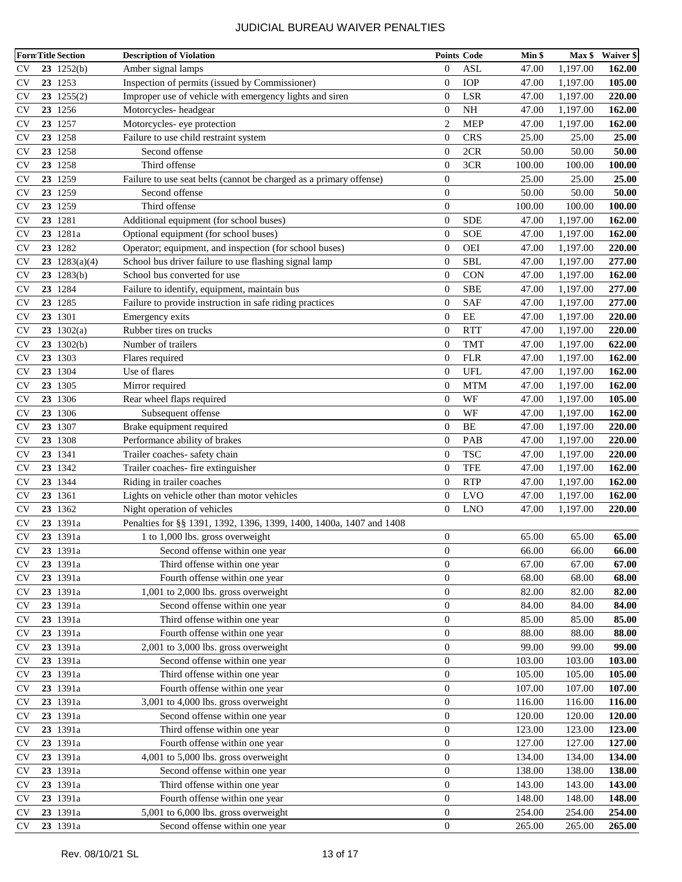| <b>FormTitle Section</b> |  |                    | <b>Description of Violation</b>                                     | <b>Points Code</b> |             | Min \$ | $Max$ \$ | <b>Waiver \$</b> |
|--------------------------|--|--------------------|---------------------------------------------------------------------|--------------------|-------------|--------|----------|------------------|
| $\mathbf{C} \mathbf{V}$  |  | $23 \t1252(b)$     | Amber signal lamps                                                  | $\overline{0}$     | ASL         | 47.00  | 1,197.00 | 162.00           |
| $\mathbf{C} \mathbf{V}$  |  | 23 1253            | Inspection of permits (issued by Commissioner)                      | $\overline{0}$     | <b>IOP</b>  | 47.00  | 1,197.00 | 105.00           |
| <b>CV</b>                |  | $23 \t1255(2)$     | Improper use of vehicle with emergency lights and siren             | $\overline{0}$     | LSR         | 47.00  | 1,197.00 | 220.00           |
| <b>CV</b>                |  | 23 1256            | Motorcycles-headgear                                                | $\boldsymbol{0}$   | NH          | 47.00  | 1,197.00 | 162.00           |
| <b>CV</b>                |  | 23 1257            | Motorcycles- eye protection                                         | $\overline{2}$     | <b>MEP</b>  | 47.00  | 1,197.00 | 162.00           |
| <b>CV</b>                |  | 23 1258            | Failure to use child restraint system                               | $\theta$           | <b>CRS</b>  | 25.00  | 25.00    | 25.00            |
| <b>CV</b>                |  | 23 1258            | Second offense                                                      | $\mathbf{0}$       | 2CR         | 50.00  | 50.00    | 50.00            |
| <b>CV</b>                |  | 23 1258            | Third offense                                                       | $\mathbf{0}$       | 3CR         | 100.00 | 100.00   | 100.00           |
| <b>CV</b>                |  | 23 1259            | Failure to use seat belts (cannot be charged as a primary offense)  | $\boldsymbol{0}$   |             | 25.00  | 25.00    | 25.00            |
| <b>CV</b>                |  | 23 1259            | Second offense                                                      | $\theta$           |             | 50.00  | 50.00    | 50.00            |
| <b>CV</b>                |  | 23 1259            | Third offense                                                       | $\theta$           |             | 100.00 | 100.00   | 100.00           |
| <b>CV</b>                |  | 23 1281            | Additional equipment (for school buses)                             | $\overline{0}$     | <b>SDE</b>  | 47.00  | 1,197.00 | 162.00           |
| <b>CV</b>                |  | 23 1281a           | Optional equipment (for school buses)                               | $\overline{0}$     | <b>SOE</b>  | 47.00  | 1,197.00 | 162.00           |
| <b>CV</b>                |  | 23 1282            | Operator; equipment, and inspection (for school buses)              | $\overline{0}$     | <b>OEI</b>  | 47.00  | 1,197.00 | 220.00           |
| <b>CV</b>                |  | 23 $1283(a)(4)$    | School bus driver failure to use flashing signal lamp               | $\overline{0}$     | <b>SBL</b>  | 47.00  | 1,197.00 | 277.00           |
| <b>CV</b>                |  | 23 1283(b)         | School bus converted for use                                        | $\overline{0}$     | <b>CON</b>  | 47.00  | 1,197.00 | 162.00           |
| <b>CV</b>                |  | 23 1284            | Failure to identify, equipment, maintain bus                        | $\overline{0}$     | <b>SBE</b>  | 47.00  | 1,197.00 | 277.00           |
| <b>CV</b>                |  | 23 1285            | Failure to provide instruction in safe riding practices             | $\overline{0}$     | SAF         | 47.00  | 1,197.00 | 277.00           |
| <b>CV</b>                |  | 23 1301            | Emergency exits                                                     | $\overline{0}$     | EE          | 47.00  | 1,197.00 | 220.00           |
| <b>CV</b>                |  | $23 \quad 1302(a)$ | Rubber tires on trucks                                              | $\overline{0}$     | <b>RTT</b>  | 47.00  | 1,197.00 | 220.00           |
| <b>CV</b>                |  | $23 \t1302(b)$     | Number of trailers                                                  | $\overline{0}$     | <b>TMT</b>  | 47.00  | 1,197.00 | 622.00           |
| <b>CV</b>                |  | 23 1303            | Flares required                                                     | $\overline{0}$     | ${\rm FLR}$ | 47.00  | 1,197.00 | 162.00           |
| <b>CV</b>                |  | 23 1304            | Use of flares                                                       | $\mathbf{0}$       | <b>UFL</b>  | 47.00  | 1,197.00 | 162.00           |
| <b>CV</b>                |  | 23 1305            | Mirror required                                                     | $\mathbf{0}$       | <b>MTM</b>  | 47.00  | 1,197.00 | 162.00           |
| <b>CV</b>                |  | 23 1306            | Rear wheel flaps required                                           | $\overline{0}$     | WF          | 47.00  | 1,197.00 | 105.00           |
| <b>CV</b>                |  | 23 1306            | Subsequent offense                                                  | $\overline{0}$     | WF          | 47.00  | 1,197.00 | 162.00           |
| <b>CV</b>                |  | 23 1307            | Brake equipment required                                            | $\overline{0}$     | BE          | 47.00  | 1,197.00 | 220.00           |
| <b>CV</b>                |  | 23 1308            | Performance ability of brakes                                       | $\overline{0}$     | PAB         | 47.00  | 1,197.00 | 220.00           |
| <b>CV</b>                |  | 23 1341            | Trailer coaches- safety chain                                       | $\boldsymbol{0}$   | <b>TSC</b>  | 47.00  | 1,197.00 | 220.00           |
| <b>CV</b>                |  | 23 1342            | Trailer coaches- fire extinguisher                                  | $\overline{0}$     | <b>TFE</b>  | 47.00  | 1,197.00 | 162.00           |
| <b>CV</b>                |  | 23 1344            | Riding in trailer coaches                                           | $\overline{0}$     | <b>RTP</b>  | 47.00  | 1,197.00 | 162.00           |
| <b>CV</b>                |  | 23 1361            | Lights on vehicle other than motor vehicles                         | $\mathbf{0}$       | LVO         | 47.00  | 1,197.00 | 162.00           |
| <b>CV</b>                |  | 23 1362            | Night operation of vehicles                                         | $\overline{0}$     | <b>LNO</b>  | 47.00  | 1,197.00 | 220.00           |
| <b>CV</b>                |  | 23 1391a           | Penalties for §§ 1391, 1392, 1396, 1399, 1400, 1400a, 1407 and 1408 |                    |             |        |          |                  |
| <b>CV</b>                |  | 23 1391a           | 1 to 1,000 lbs. gross overweight                                    | $\boldsymbol{0}$   |             | 65.00  | 65.00    | 65.00            |
| <b>CV</b>                |  | 23 1391a           | Second offense within one year                                      | $\boldsymbol{0}$   |             | 66.00  | 66.00    | 66.00            |
| <b>CV</b>                |  | 23 1391a           | Third offense within one year                                       | $\boldsymbol{0}$   |             | 67.00  | 67.00    | 67.00            |
| <b>CV</b>                |  | 23 1391a           | Fourth offense within one year                                      | $\boldsymbol{0}$   |             | 68.00  | 68.00    | 68.00            |
| <b>CV</b>                |  | 23 1391a           | 1,001 to 2,000 lbs. gross overweight                                | $\boldsymbol{0}$   |             | 82.00  | 82.00    | 82.00            |
| <b>CV</b>                |  | 23 1391a           | Second offense within one year                                      | $\boldsymbol{0}$   |             | 84.00  | 84.00    | 84.00            |
| <b>CV</b>                |  | 23 1391a           | Third offense within one year                                       | $\boldsymbol{0}$   |             | 85.00  | 85.00    | 85.00            |
| <b>CV</b>                |  | 23 1391a           | Fourth offense within one year                                      | $\boldsymbol{0}$   |             | 88.00  | 88.00    | 88.00            |
| <b>CV</b>                |  | 23 1391a           | 2,001 to 3,000 lbs. gross overweight                                | $\boldsymbol{0}$   |             | 99.00  | 99.00    | 99.00            |
| <b>CV</b>                |  | 23 1391a           | Second offense within one year                                      | $\boldsymbol{0}$   |             | 103.00 | 103.00   | 103.00           |
| <b>CV</b>                |  | 23 1391a           | Third offense within one year                                       | $\boldsymbol{0}$   |             | 105.00 | 105.00   | 105.00           |
| <b>CV</b>                |  | 23 1391a           | Fourth offense within one year                                      | $\boldsymbol{0}$   |             | 107.00 | 107.00   | 107.00           |
| <b>CV</b>                |  | 23 1391a           | 3,001 to 4,000 lbs. gross overweight                                | $\boldsymbol{0}$   |             | 116.00 | 116.00   | 116.00           |
| <b>CV</b>                |  | 23 1391a           | Second offense within one year                                      | $\boldsymbol{0}$   |             | 120.00 | 120.00   | 120.00           |
| <b>CV</b>                |  | 23 1391a           | Third offense within one year                                       | $\boldsymbol{0}$   |             | 123.00 | 123.00   | 123.00           |
| <b>CV</b>                |  | 23 1391a           | Fourth offense within one year                                      | $\boldsymbol{0}$   |             | 127.00 | 127.00   | 127.00           |
| <b>CV</b>                |  | 23 1391a           | 4,001 to 5,000 lbs. gross overweight                                | $\boldsymbol{0}$   |             | 134.00 | 134.00   | 134.00           |
| <b>CV</b>                |  | 23 1391a           | Second offense within one year                                      | $\boldsymbol{0}$   |             | 138.00 | 138.00   | 138.00           |
| <b>CV</b>                |  | 23 1391a           | Third offense within one year                                       | $\boldsymbol{0}$   |             | 143.00 | 143.00   | 143.00           |
| <b>CV</b>                |  | 23 1391a           | Fourth offense within one year                                      | $\boldsymbol{0}$   |             | 148.00 | 148.00   | 148.00           |
| <b>CV</b>                |  | 23 1391a           | 5,001 to 6,000 lbs. gross overweight                                | $\boldsymbol{0}$   |             | 254.00 | 254.00   | 254.00           |
| <b>CV</b>                |  | 23 1391a           | Second offense within one year                                      | $\boldsymbol{0}$   |             | 265.00 | 265.00   | 265.00           |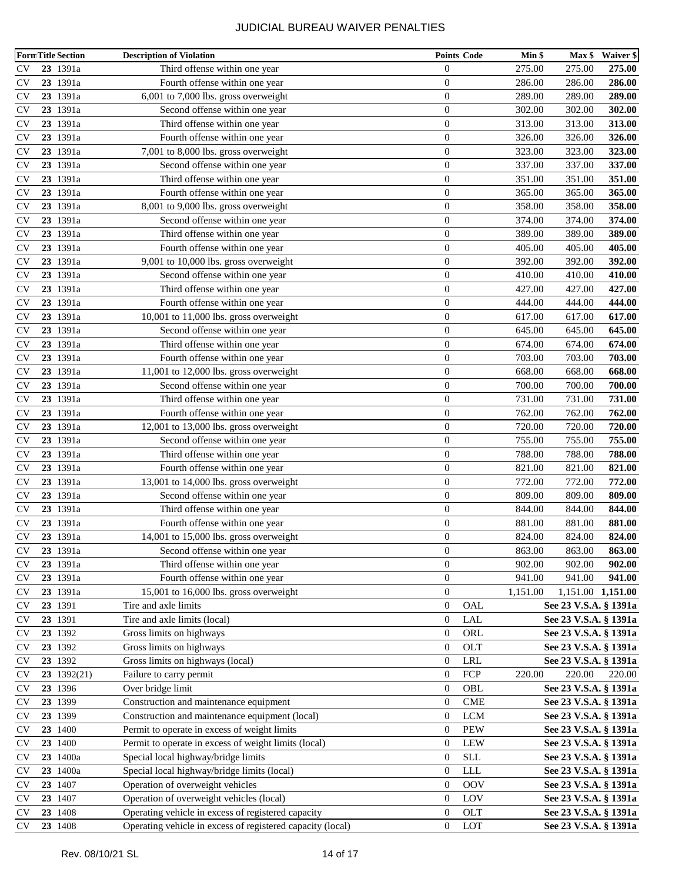|               | <b>FormTitle Section</b> | <b>Description of Violation</b>                            |                  | <b>Points Code</b>          | Min \$   | Max \$                | Waiver \$         |
|---------------|--------------------------|------------------------------------------------------------|------------------|-----------------------------|----------|-----------------------|-------------------|
| <b>CV</b>     | 23 1391a                 | Third offense within one year                              | $\boldsymbol{0}$ |                             | 275.00   | 275.00                | 275.00            |
| <b>CV</b>     | 23 1391a                 | Fourth offense within one year                             | $\mathbf{0}$     |                             | 286.00   | 286.00                | 286.00            |
| <b>CV</b>     | 23 1391a                 | 6,001 to 7,000 lbs. gross overweight                       | $\boldsymbol{0}$ |                             | 289.00   | 289.00                | 289.00            |
| <b>CV</b>     | 23 1391a                 | Second offense within one year                             | $\boldsymbol{0}$ |                             | 302.00   | 302.00                | 302.00            |
| <b>CV</b>     | 23 1391a                 | Third offense within one year                              | $\boldsymbol{0}$ |                             | 313.00   | 313.00                | 313.00            |
| <b>CV</b>     | 23 1391a                 | Fourth offense within one year                             | $\boldsymbol{0}$ |                             | 326.00   | 326.00                | 326.00            |
| <b>CV</b>     | 23 1391a                 | 7,001 to 8,000 lbs. gross overweight                       | $\boldsymbol{0}$ |                             | 323.00   | 323.00                | 323.00            |
| <b>CV</b>     | 23 1391a                 | Second offense within one year                             | $\boldsymbol{0}$ |                             | 337.00   | 337.00                | 337.00            |
| <b>CV</b>     | 23 1391a                 | Third offense within one year                              | $\boldsymbol{0}$ |                             | 351.00   | 351.00                | 351.00            |
| <b>CV</b>     | 23 1391a                 | Fourth offense within one year                             | $\boldsymbol{0}$ |                             | 365.00   | 365.00                | 365.00            |
| <b>CV</b>     | 23 1391a                 | 8,001 to 9,000 lbs. gross overweight                       | $\boldsymbol{0}$ |                             | 358.00   | 358.00                | 358.00            |
| <b>CV</b>     | 23 1391a                 | Second offense within one year                             | $\boldsymbol{0}$ |                             | 374.00   | 374.00                | 374.00            |
| <b>CV</b>     | 23 1391a                 | Third offense within one year                              | $\boldsymbol{0}$ |                             | 389.00   | 389.00                | 389.00            |
| <b>CV</b>     | 23 1391a                 | Fourth offense within one year                             | $\boldsymbol{0}$ |                             | 405.00   | 405.00                | 405.00            |
| <b>CV</b>     | 23 1391a                 | 9,001 to 10,000 lbs. gross overweight                      | $\boldsymbol{0}$ |                             | 392.00   | 392.00                | 392.00            |
| <b>CV</b>     | 23 1391a                 | Second offense within one year                             | $\boldsymbol{0}$ |                             | 410.00   | 410.00                | 410.00            |
| <b>CV</b>     | 23 1391a                 | Third offense within one year                              | $\boldsymbol{0}$ |                             | 427.00   | 427.00                | 427.00            |
| <b>CV</b>     | 23 1391a                 | Fourth offense within one year                             | $\boldsymbol{0}$ |                             | 444.00   | 444.00                | 444.00            |
| <b>CV</b>     | 23 1391a                 | 10,001 to 11,000 lbs. gross overweight                     | $\boldsymbol{0}$ |                             | 617.00   | 617.00                | 617.00            |
| <b>CV</b>     | 23 1391a                 | Second offense within one year                             | $\boldsymbol{0}$ |                             | 645.00   | 645.00                | 645.00            |
| <b>CV</b>     | 23 1391a                 | Third offense within one year                              | $\boldsymbol{0}$ |                             | 674.00   | 674.00                | 674.00            |
| CV            | 23 1391a                 | Fourth offense within one year                             | $\boldsymbol{0}$ |                             | 703.00   | 703.00                | 703.00            |
| <b>CV</b>     | 23 1391a                 | 11,001 to 12,000 lbs. gross overweight                     | $\boldsymbol{0}$ |                             | 668.00   | 668.00                | 668.00            |
| <b>CV</b>     | 23 1391a                 | Second offense within one year                             | $\boldsymbol{0}$ |                             | 700.00   | 700.00                | 700.00            |
| <b>CV</b>     | 23 1391a                 | Third offense within one year                              | $\boldsymbol{0}$ |                             | 731.00   | 731.00                | 731.00            |
| <b>CV</b>     | 23 1391a                 | Fourth offense within one year                             | $\boldsymbol{0}$ |                             | 762.00   | 762.00                | 762.00            |
| <b>CV</b>     | 23 1391a                 | 12,001 to 13,000 lbs. gross overweight                     | $\mathbf{0}$     |                             | 720.00   | 720.00                | 720.00            |
| <b>CV</b>     | 23 1391a                 | Second offense within one year                             | $\boldsymbol{0}$ |                             | 755.00   | 755.00                | 755.00            |
| <b>CV</b>     | 23 1391a                 | Third offense within one year                              | $\boldsymbol{0}$ |                             | 788.00   | 788.00                | 788.00            |
| <b>CV</b>     | 23 1391a                 | Fourth offense within one year                             | $\mathbf{0}$     |                             | 821.00   | 821.00                | 821.00            |
| <b>CV</b>     | 23 1391a                 | 13,001 to 14,000 lbs. gross overweight                     | $\boldsymbol{0}$ |                             | 772.00   | 772.00                | 772.00            |
| <b>CV</b>     | 23 1391a                 | Second offense within one year                             | $\boldsymbol{0}$ |                             | 809.00   | 809.00                | 809.00            |
| <b>CV</b>     | 23 1391a                 | Third offense within one year                              | $\boldsymbol{0}$ |                             | 844.00   | 844.00                | 844.00            |
| <b>CV</b>     | 23 1391a                 | Fourth offense within one year                             | $\boldsymbol{0}$ |                             | 881.00   | 881.00                | 881.00            |
| <b>CV</b>     | 23 1391a                 | 14,001 to 15,000 lbs. gross overweight                     | $\boldsymbol{0}$ |                             | 824.00   | 824.00                | 824.00            |
| <b>CV</b>     | 23 1391a                 | Second offense within one year                             | $\boldsymbol{0}$ |                             | 863.00   | 863.00                | 863.00            |
| <b>CV</b>     | 23 1391a                 | Third offense within one year                              | $\boldsymbol{0}$ |                             | 902.00   | 902.00                | 902.00            |
| <b>CV</b>     | 23 1391a                 | Fourth offense within one year                             | $\mathbf{0}$     |                             | 941.00   | 941.00                | 941.00            |
| <b>CV</b>     | 23 1391a                 | 15,001 to 16,000 lbs. gross overweight                     | $\mathbf{0}$     |                             | 1,151.00 |                       | 1,151.00 1,151.00 |
| <b>CV</b>     | 23 1391                  | Tire and axle limits                                       | $\boldsymbol{0}$ | OAL                         |          | See 23 V.S.A. § 1391a |                   |
| <b>CV</b>     | 23 1391                  | Tire and axle limits (local)                               | $\boldsymbol{0}$ | <b>LAL</b>                  |          | See 23 V.S.A. § 1391a |                   |
| <b>CV</b>     | 23 1392                  | Gross limits on highways                                   | $\boldsymbol{0}$ | ORL                         |          | See 23 V.S.A. § 1391a |                   |
| <b>CV</b>     | 23 1392                  | Gross limits on highways                                   | $\theta$         | OLT                         |          | See 23 V.S.A. § 1391a |                   |
| <b>CV</b>     | 23 1392                  | Gross limits on highways (local)                           | $\boldsymbol{0}$ | LRL                         |          | See 23 V.S.A. § 1391a |                   |
| <b>CV</b>     | 23 1392(21)              | Failure to carry permit                                    | $\boldsymbol{0}$ | FCP                         | 220.00   | 220.00                | 220.00            |
| <b>CV</b>     | 23 1396                  | Over bridge limit                                          | $\boldsymbol{0}$ | OBL                         |          | See 23 V.S.A. § 1391a |                   |
| <b>CV</b>     | 23 1399                  | Construction and maintenance equipment                     | $\boldsymbol{0}$ | $\ensuremath{\mathrm{CME}}$ |          | See 23 V.S.A. § 1391a |                   |
| <b>CV</b>     | 23 1399                  | Construction and maintenance equipment (local)             | $\boldsymbol{0}$ | $_{\rm LCM}$                |          | See 23 V.S.A. § 1391a |                   |
| <b>CV</b>     | 23 1400                  | Permit to operate in excess of weight limits               | $\boldsymbol{0}$ | <b>PEW</b>                  |          | See 23 V.S.A. § 1391a |                   |
| <b>CV</b>     | 23 1400                  | Permit to operate in excess of weight limits (local)       | $\boldsymbol{0}$ | LEW                         |          | See 23 V.S.A. § 1391a |                   |
| <b>CV</b>     | 23 1400a                 | Special local highway/bridge limits                        | $\boldsymbol{0}$ | <b>SLL</b>                  |          | See 23 V.S.A. § 1391a |                   |
| <b>CV</b>     | 23 1400a                 | Special local highway/bridge limits (local)                | $\boldsymbol{0}$ | ${\rm LLL}$                 |          | See 23 V.S.A. § 1391a |                   |
| <b>CV</b>     | 23 1407                  | Operation of overweight vehicles                           | $\mathbf{0}$     | <b>OOV</b>                  |          | See 23 V.S.A. § 1391a |                   |
| <b>CV</b>     | 23 1407                  | Operation of overweight vehicles (local)                   | $\boldsymbol{0}$ | LOV                         |          | See 23 V.S.A. § 1391a |                   |
| $\mathrm{CV}$ | 23 1408                  | Operating vehicle in excess of registered capacity         | $\boldsymbol{0}$ | <b>OLT</b>                  |          | See 23 V.S.A. § 1391a |                   |
| <b>CV</b>     | 23 1408                  | Operating vehicle in excess of registered capacity (local) | $\boldsymbol{0}$ | LOT                         |          | See 23 V.S.A. § 1391a |                   |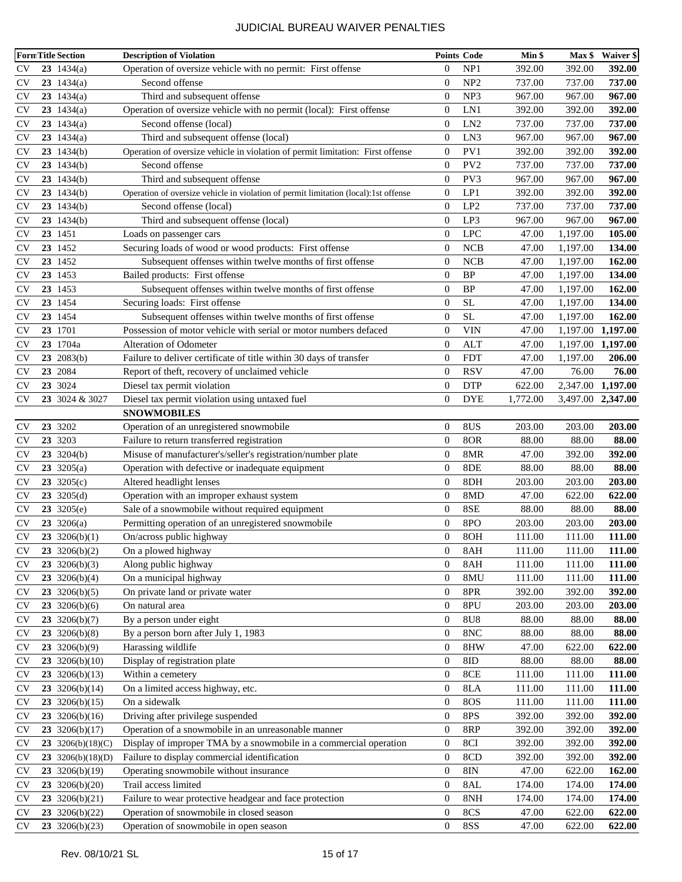| <b>FormTitle Section</b> |                        | <b>Description of Violation</b>                                                     |                  | <b>Points Code</b> | Min \$   | Max \$            | Waiver \$     |
|--------------------------|------------------------|-------------------------------------------------------------------------------------|------------------|--------------------|----------|-------------------|---------------|
| <b>CV</b>                | 23 $1434(a)$           | Operation of oversize vehicle with no permit: First offense                         | $\overline{0}$   | NP1                | 392.00   | 392.00            | 392.00        |
| <b>CV</b>                | 23 $1434(a)$           | Second offense                                                                      | $\overline{0}$   | NP <sub>2</sub>    | 737.00   | 737.00            | 737.00        |
| <b>CV</b>                | 23 $1434(a)$           | Third and subsequent offense                                                        | $\overline{0}$   | NP3                | 967.00   | 967.00            | 967.00        |
| <b>CV</b>                | 23 $1434(a)$           | Operation of oversize vehicle with no permit (local): First offense                 | $\overline{0}$   | LN1                | 392.00   | 392.00            | 392.00        |
| <b>CV</b>                | 23 $1434(a)$           | Second offense (local)                                                              | $\overline{0}$   | LN <sub>2</sub>    | 737.00   | 737.00            | 737.00        |
| <b>CV</b>                | 23 $1434(a)$           | Third and subsequent offense (local)                                                | $\overline{0}$   | LN3                | 967.00   | 967.00            | 967.00        |
| <b>CV</b>                | $23 \t1434(b)$         | Operation of oversize vehicle in violation of permit limitation: First offense      | $\overline{0}$   | PV1                | 392.00   | 392.00            | 392.00        |
| <b>CV</b>                | $23 \t1434(b)$         | Second offense                                                                      | $\Omega$         | PV <sub>2</sub>    | 737.00   | 737.00            | 737.00        |
| <b>CV</b>                | $23 \t1434(b)$         | Third and subsequent offense                                                        | $\overline{0}$   | PV3                | 967.00   | 967.00            | 967.00        |
| <b>CV</b>                | $23 \t1434(b)$         | Operation of oversize vehicle in violation of permit limitation (local):1st offense | $\overline{0}$   | LP1                | 392.00   | 392.00            | 392.00        |
| <b>CV</b>                | 231434(b)              | Second offense (local)                                                              | $\overline{0}$   | LP <sub>2</sub>    | 737.00   | 737.00            | 737.00        |
| <b>CV</b>                | $23 \t1434(b)$         | Third and subsequent offense (local)                                                | $\overline{0}$   | LP3                | 967.00   | 967.00            | 967.00        |
| <b>CV</b>                | 23 1451                | Loads on passenger cars                                                             | $\overline{0}$   | <b>LPC</b>         | 47.00    | 1,197.00          | 105.00        |
| <b>CV</b>                | 23 1452                | Securing loads of wood or wood products: First offense                              | $\boldsymbol{0}$ | <b>NCB</b>         | 47.00    | 1,197.00          | 134.00        |
| <b>CV</b>                | 23 1452                | Subsequent offenses within twelve months of first offense                           | $\overline{0}$   | <b>NCB</b>         | 47.00    | 1,197.00          | 162.00        |
| <b>CV</b>                | 23 1453                | Bailed products: First offense                                                      | $\overline{0}$   | <b>BP</b>          | 47.00    | 1,197.00          | 134.00        |
| <b>CV</b>                | 23 1453                | Subsequent offenses within twelve months of first offense                           | $\overline{0}$   | <b>BP</b>          | 47.00    | 1,197.00          | 162.00        |
| <b>CV</b>                | 23 1454                | Securing loads: First offense                                                       | $\overline{0}$   | <b>SL</b>          | 47.00    | 1,197.00          | 134.00        |
| <b>CV</b>                | 23 1454                | Subsequent offenses within twelve months of first offense                           | $\overline{0}$   | <b>SL</b>          | 47.00    | 1,197.00          | 162.00        |
| <b>CV</b>                | 23 1701                | Possession of motor vehicle with serial or motor numbers defaced                    | $\overline{0}$   | <b>VIN</b>         | 47.00    | 1,197.00          | 1,197.00      |
| <b>CV</b>                | 23 1704a               | Alteration of Odometer                                                              | $\overline{0}$   | ALT                | 47.00    | 1,197.00          | 1,197.00      |
| <b>CV</b>                | 23 2083(b)             | Failure to deliver certificate of title within 30 days of transfer                  | $\overline{0}$   | <b>FDT</b>         | 47.00    | 1,197.00          | 206.00        |
| <b>CV</b>                | 23 2084                | Report of theft, recovery of unclaimed vehicle                                      | $\overline{0}$   | <b>RSV</b>         | 47.00    | 76.00             | 76.00         |
| <b>CV</b>                | 23 3024                | Diesel tax permit violation                                                         | $\overline{0}$   | <b>DTP</b>         | 622.00   | 2,347.00 1,197.00 |               |
| <b>CV</b>                | 23 3024 & 3027         | Diesel tax permit violation using untaxed fuel                                      | $\overline{0}$   | <b>DYE</b>         | 1,772.00 | 3,497.00 2,347.00 |               |
|                          |                        | <b>SNOWMOBILES</b>                                                                  |                  |                    |          |                   |               |
| <b>CV</b>                | 23 3202                | Operation of an unregistered snowmobile                                             | $\theta$         | 8US                | 203.00   | 203.00            | 203.00        |
| <b>CV</b>                | 23 3203                | Failure to return transferred registration                                          | $\overline{0}$   | 8OR                | 88.00    | 88.00             | 88.00         |
| <b>CV</b>                | $23 \t3204(b)$         | Misuse of manufacturer's/seller's registration/number plate                         | $\overline{0}$   | 8MR                | 47.00    | 392.00            | 392.00        |
| <b>CV</b>                | 23 3205(a)             | Operation with defective or inadequate equipment                                    | $\boldsymbol{0}$ | 8DE                | 88.00    | 88.00             | 88.00         |
| <b>CV</b>                | 23 3205(c)             | Altered headlight lenses                                                            | $\overline{0}$   | 8DH                | 203.00   | 203.00            | 203.00        |
| <b>CV</b>                | 23 3205 $(d)$          | Operation with an improper exhaust system                                           | $\overline{0}$   | 8MD                | 47.00    | 622.00            | 622.00        |
| <b>CV</b>                | 23 3205(e)             | Sale of a snowmobile without required equipment                                     | $\overline{0}$   | 8SE                | 88.00    | 88.00             | 88.00         |
| <b>CV</b>                | $23 \frac{3206(a)}{b}$ | Permitting operation of an unregistered snowmobile                                  | $\boldsymbol{0}$ | 8PO                | 203.00   | 203.00            | 203.00        |
| <b>CV</b>                | 23 3206(b)(1)          | On/across public highway                                                            | $\overline{0}$   | 8OH                | 111.00   | 111.00            | 111.00        |
| <b>CV</b>                | 23 3206(b)(2)          | On a plowed highway                                                                 | $\boldsymbol{0}$ | 8AH                | 111.00   | 111.00            | <b>111.00</b> |
| <b>CV</b>                | 23 3206(b)(3)          | Along public highway                                                                | $\boldsymbol{0}$ | 8AH                | 111.00   | 111.00            | 111.00        |
| <b>CV</b>                | 23 3206(b)(4)          | On a municipal highway                                                              | $\boldsymbol{0}$ | 8MU                | 111.00   | 111.00            | 111.00        |
| <b>CV</b>                | 23 3206(b)(5)          | On private land or private water                                                    | $\boldsymbol{0}$ | 8PR                | 392.00   | 392.00            | 392.00        |
| <b>CV</b>                | 23 3206(b)(6)          | On natural area                                                                     | $\boldsymbol{0}$ | 8PU                | 203.00   | 203.00            | 203.00        |
| <b>CV</b>                | 23 3206(b)(7)          | By a person under eight                                                             | $\boldsymbol{0}$ | <b>8U8</b>         | 88.00    | 88.00             | 88.00         |
| <b>CV</b>                | 23 3206(b)(8)          | By a person born after July 1, 1983                                                 | $\boldsymbol{0}$ | 8NC                | 88.00    | 88.00             | 88.00         |
| CV                       | 23 3206(b)(9)          | Harassing wildlife                                                                  | $\boldsymbol{0}$ | 8HW                | 47.00    | 622.00            | 622.00        |
| <b>CV</b>                | 23 3206(b)(10)         | Display of registration plate                                                       | $\boldsymbol{0}$ | 8ID                | 88.00    | 88.00             | 88.00         |
| <b>CV</b>                | 23 3206(b)(13)         | Within a cemetery                                                                   | $\boldsymbol{0}$ | 8CE                | 111.00   | 111.00            | 111.00        |
| <b>CV</b>                | 23 3206(b)(14)         | On a limited access highway, etc.                                                   | $\boldsymbol{0}$ | 8LA                | 111.00   | 111.00            | 111.00        |
| <b>CV</b>                | 23 3206(b)(15)         | On a sidewalk                                                                       | $\boldsymbol{0}$ | <b>8OS</b>         | 111.00   | 111.00            | 111.00        |
| <b>CV</b>                | 23 3206(b)(16)         | Driving after privilege suspended                                                   | $\boldsymbol{0}$ | 8PS                | 392.00   | 392.00            | 392.00        |
| <b>CV</b>                | 23 3206(b)(17)         | Operation of a snowmobile in an unreasonable manner                                 | $\boldsymbol{0}$ | 8RP                | 392.00   | 392.00            | 392.00        |
| <b>CV</b>                | 23 3206(b)(18)(C)      | Display of improper TMA by a snowmobile in a commercial operation                   | $\boldsymbol{0}$ | 8CI                | 392.00   | 392.00            | 392.00        |
| <b>CV</b>                | 23 3206(b)(18)(D)      | Failure to display commercial identification                                        | $\boldsymbol{0}$ | 8CD                | 392.00   | 392.00            | 392.00        |
| <b>CV</b>                | 23 3206(b)(19)         | Operating snowmobile without insurance                                              | $\boldsymbol{0}$ | 8IN                | 47.00    | 622.00            | 162.00        |
| <b>CV</b>                | 23 3206(b)(20)         | Trail access limited                                                                | $\boldsymbol{0}$ | 8AL                | 174.00   | 174.00            | 174.00        |
| <b>CV</b>                | 23 3206(b)(21)         | Failure to wear protective headgear and face protection                             | $\boldsymbol{0}$ | 8NH                | 174.00   | 174.00            | 174.00        |
| <b>CV</b>                | 23 3206(b)(22)         | Operation of snowmobile in closed season                                            | $\boldsymbol{0}$ | 8CS                | 47.00    | 622.00            | 622.00        |
| <b>CV</b>                | 23 3206(b)(23)         | Operation of snowmobile in open season                                              | $\boldsymbol{0}$ | <b>8SS</b>         | 47.00    | 622.00            | 622.00        |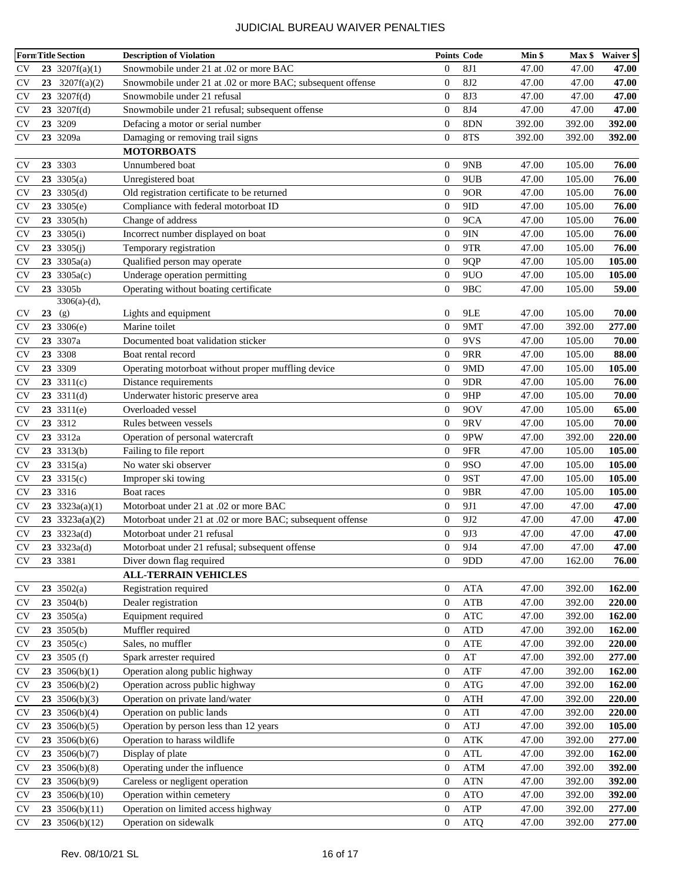| <b>FormTitle Section</b> |                        | <b>Description of Violation</b>                            | <b>Points Code</b> |                 | Min \$ | $Max$ \$ | <b>Waiver \$</b> |
|--------------------------|------------------------|------------------------------------------------------------|--------------------|-----------------|--------|----------|------------------|
| <b>CV</b>                | 23 3207 $f(a)(1)$      | Snowmobile under 21 at .02 or more BAC                     | $\mathbf{0}$       | <b>8J1</b>      | 47.00  | 47.00    | 47.00            |
| <b>CV</b>                | 23 3207 $f(a)(2)$      | Snowmobile under 21 at .02 or more BAC; subsequent offense | $\mathbf{0}$       | <b>8J2</b>      | 47.00  | 47.00    | 47.00            |
| <b>CV</b>                | $23 \quad 3207f(d)$    | Snowmobile under 21 refusal                                | $\mathbf{0}$       | 8J3             | 47.00  | 47.00    | 47.00            |
| <b>CV</b>                | $23 \quad 3207f(d)$    | Snowmobile under 21 refusal; subsequent offense            | $\mathbf{0}$       | <b>8J4</b>      | 47.00  | 47.00    | 47.00            |
| <b>CV</b>                | 23 3209                | Defacing a motor or serial number                          | $\mathbf{0}$       | 8DN             | 392.00 | 392.00   | 392.00           |
| <b>CV</b>                | 23 3209a               | Damaging or removing trail signs                           | $\mathbf{0}$       | 8TS             | 392.00 | 392.00   | 392.00           |
|                          |                        | <b>MOTORBOATS</b>                                          |                    |                 |        |          |                  |
| <b>CV</b>                | 23 3303                | Unnumbered boat                                            | $\overline{0}$     | 9NB             | 47.00  | 105.00   | 76.00            |
| <b>CV</b>                | 23 3305(a)             | Unregistered boat                                          | $\mathbf{0}$       | 9UB             | 47.00  | 105.00   | 76.00            |
| <b>CV</b>                | $23 \, 3305(d)$        | Old registration certificate to be returned                | $\mathbf{0}$       | 9OR             | 47.00  | 105.00   | 76.00            |
| <b>CV</b>                | $23 \, 3305(e)$        | Compliance with federal motorboat ID                       | $\mathbf{0}$       | 9ID             | 47.00  | 105.00   | 76.00            |
| <b>CV</b>                | $23 \, 3305(h)$        | Change of address                                          | $\mathbf{0}$       | 9CA             | 47.00  | 105.00   | 76.00            |
| <b>CV</b>                | $23 \, 3305(i)$        | Incorrect number displayed on boat                         | $\overline{0}$     | 9IN             | 47.00  | 105.00   | 76.00            |
| <b>CV</b>                | 23 3305 $(j)$          | Temporary registration                                     | $\overline{0}$     | 9TR             | 47.00  | 105.00   | 76.00            |
| <b>CV</b>                | $23 \, 3305a(a)$       | Qualified person may operate                               | $\mathbf{0}$       | 9QP             | 47.00  | 105.00   | 105.00           |
| <b>CV</b>                | 23 3305a(c)            | Underage operation permitting                              | $\mathbf{0}$       | 9UO             | 47.00  | 105.00   | 105.00           |
| <b>CV</b>                | 23 3305b               | Operating without boating certificate                      | $\overline{0}$     | 9 <sub>BC</sub> | 47.00  | 105.00   | 59.00            |
|                          | $3306(a)-(d)$ ,        |                                                            |                    |                 |        |          |                  |
| <b>CV</b>                | $23$ (g)               | Lights and equipment                                       | $\overline{0}$     | 9LE             | 47.00  | 105.00   | 70.00            |
| <b>CV</b>                | 23 3306(e)             | Marine toilet                                              | $\mathbf{0}$       | 9MT             | 47.00  | 392.00   | 277.00           |
| <b>CV</b>                | 23 3307a               | Documented boat validation sticker                         | $\overline{0}$     | 9VS             | 47.00  | 105.00   | 70.00            |
| <b>CV</b>                | 23 3308                | Boat rental record                                         | $\overline{0}$     | 9RR             | 47.00  | 105.00   | 88.00            |
| <b>CV</b>                | 23 3309                | Operating motorboat without proper muffling device         | $\boldsymbol{0}$   | 9MD             | 47.00  | 105.00   | 105.00           |
| <b>CV</b>                | $23 \frac{3311(c)}{c}$ | Distance requirements                                      | $\mathbf{0}$       | 9DR             | 47.00  | 105.00   | 76.00            |
| <b>CV</b>                | $23 \quad 3311(d)$     | Underwater historic preserve area                          | $\overline{0}$     | 9HP             | 47.00  | 105.00   | 70.00            |
| <b>CV</b>                | $23 \, 3311(e)$        | Overloaded vessel                                          | $\mathbf{0}$       | 90V             | 47.00  | 105.00   | 65.00            |
| <b>CV</b>                | 23 3312                | Rules between vessels                                      | $\mathbf{0}$       | 9RV             | 47.00  | 105.00   | 70.00            |
| <b>CV</b>                | 23 3312a               | Operation of personal watercraft                           | $\mathbf{0}$       | 9PW             | 47.00  | 392.00   | 220.00           |
| <b>CV</b>                | $23 \quad 3313(b)$     | Failing to file report                                     | $\mathbf{0}$       | 9FR             | 47.00  | 105.00   | 105.00           |
| <b>CV</b>                | 23 $3315(a)$           | No water ski observer                                      | $\mathbf{0}$       | <b>9SO</b>      | 47.00  | 105.00   | 105.00           |
| <b>CV</b>                | 23 $3315(c)$           | Improper ski towing                                        | $\mathbf{0}$       | 9ST             | 47.00  | 105.00   | 105.00           |
| <b>CV</b>                | 23 3316                | Boat races                                                 | $\boldsymbol{0}$   | 9BR             | 47.00  | 105.00   | 105.00           |
| <b>CV</b>                | 23 3323a(a)(1)         | Motorboat under 21 at .02 or more BAC                      | $\mathbf{0}$       | 9J1             | 47.00  | 47.00    | 47.00            |
| <b>CV</b>                | 23 $3323a(a)(2)$       | Motorboat under 21 at .02 or more BAC; subsequent offense  | $\mathbf{0}$       | 9J <sub>2</sub> | 47.00  | 47.00    | 47.00            |
| <b>CV</b>                | $23 \quad 3323a(d)$    | Motorboat under 21 refusal                                 | $\boldsymbol{0}$   | 9J3             | 47.00  | 47.00    | 47.00            |
| $\rm{CV}$                | 23 3323a(d)            | Motorboat under 21 refusal; subsequent offense             | $\boldsymbol{0}$   | 9J4             | 47.00  | 47.00    | 47.00            |
| <b>CV</b>                | 23 3381                | Diver down flag required                                   | $\overline{0}$     | 9DD             | 47.00  | 162.00   | 76.00            |
|                          |                        | <b>ALL-TERRAIN VEHICLES</b>                                |                    |                 |        |          |                  |
| <b>CV</b>                | $23 \quad 3502(a)$     | Registration required                                      | $\boldsymbol{0}$   | <b>ATA</b>      | 47.00  | 392.00   | 162.00           |
| <b>CV</b>                | 23 3504(b)             | Dealer registration                                        | $\boldsymbol{0}$   | ATB             | 47.00  | 392.00   | 220.00           |
| <b>CV</b>                | $23 \quad 3505(a)$     | Equipment required                                         | $\boldsymbol{0}$   | <b>ATC</b>      | 47.00  | 392.00   | 162.00           |
| <b>CV</b>                | $23 \, 3505(b)$        | Muffler required                                           | $\boldsymbol{0}$   | <b>ATD</b>      | 47.00  | 392.00   | 162.00           |
| <b>CV</b>                | 23 3505(c)             | Sales, no muffler                                          | $\boldsymbol{0}$   | ATE             | 47.00  | 392.00   | 220.00           |
| <b>CV</b>                | $23 \, 3505 \, (f)$    | Spark arrester required                                    | $\boldsymbol{0}$   | AT              | 47.00  | 392.00   | 277.00           |
| <b>CV</b>                | 23 3506(b)(1)          | Operation along public highway                             | $\boldsymbol{0}$   | ATF             | 47.00  | 392.00   | 162.00           |
| <b>CV</b>                | 23 3506(b)(2)          | Operation across public highway                            | $\boldsymbol{0}$   | <b>ATG</b>      | 47.00  | 392.00   | 162.00           |
| <b>CV</b>                | 23 3506(b)(3)          | Operation on private land/water                            | $\boldsymbol{0}$   | <b>ATH</b>      | 47.00  | 392.00   | 220.00           |
| <b>CV</b>                | 23 3506(b)(4)          | Operation on public lands                                  | $\boldsymbol{0}$   | ATI             | 47.00  | 392.00   | 220.00           |
| <b>CV</b>                | $23 \quad 3506(b)(5)$  | Operation by person less than 12 years                     | $\boldsymbol{0}$   | ATJ             | 47.00  | 392.00   | 105.00           |
| <b>CV</b>                | 23 3506(b)(6)          | Operation to harass wildlife                               | $\boldsymbol{0}$   | <b>ATK</b>      | 47.00  | 392.00   | 277.00           |
| <b>CV</b>                | 23 3506(b)(7)          | Display of plate                                           | $\boldsymbol{0}$   | <b>ATL</b>      | 47.00  | 392.00   | 162.00           |
| <b>CV</b>                | 23 3506(b)(8)          | Operating under the influence                              | $\boldsymbol{0}$   | <b>ATM</b>      | 47.00  | 392.00   | 392.00           |
| <b>CV</b>                | 23 3506(b)(9)          | Careless or negligent operation                            | $\boldsymbol{0}$   | <b>ATN</b>      | 47.00  | 392.00   | 392.00           |
| <b>CV</b>                | 23 3506(b)(10)         | Operation within cemetery                                  | $\boldsymbol{0}$   | <b>ATO</b>      | 47.00  | 392.00   | 392.00           |
| <b>CV</b>                | 23 3506(b)(11)         | Operation on limited access highway                        | $\boldsymbol{0}$   | ATP             | 47.00  | 392.00   | 277.00           |
| <b>CV</b>                | 23 3506(b)(12)         | Operation on sidewalk                                      | $\boldsymbol{0}$   | <b>ATQ</b>      | 47.00  | 392.00   | 277.00           |